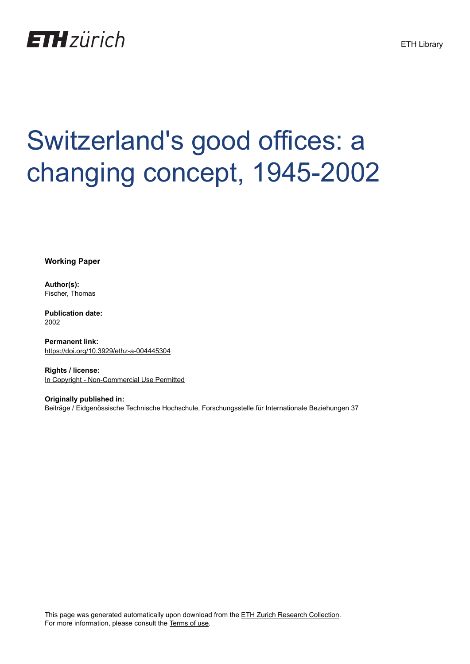

# Switzerland's good offices: a changing concept, 1945-2002

**Working Paper**

**Author(s):** Fischer, Thomas

**Publication date:** 2002

**Permanent link:** <https://doi.org/10.3929/ethz-a-004445304>

**Rights / license:** [In Copyright - Non-Commercial Use Permitted](http://rightsstatements.org/page/InC-NC/1.0/)

**Originally published in:** Beiträge / Eidgenössische Technische Hochschule, Forschungsstelle für Internationale Beziehungen 37

This page was generated automatically upon download from the [ETH Zurich Research Collection.](https://www.research-collection.ethz.ch) For more information, please consult the [Terms of use](https://www.research-collection.ethz.ch/terms-of-use).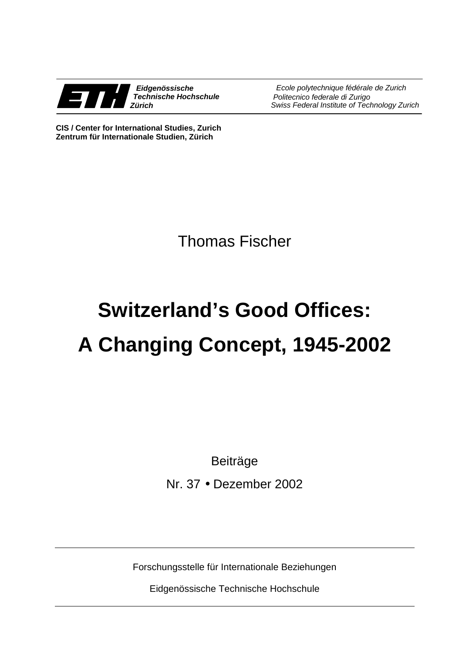

Ecole polytechnique fédérale de Zurich Politecnico federale di Zurigo Swiss Federal Institute of Technology Zurich

**CIS / Center for International Studies, Zurich Zentrum für Internationale Studien, Zürich** 

Thomas Fischer

# **Switzerland's Good Offices: A Changing Concept, 1945-2002**

Beiträge

Nr. 37 • Dezember 2002

Forschungsstelle für Internationale Beziehungen

Eidgenössische Technische Hochschule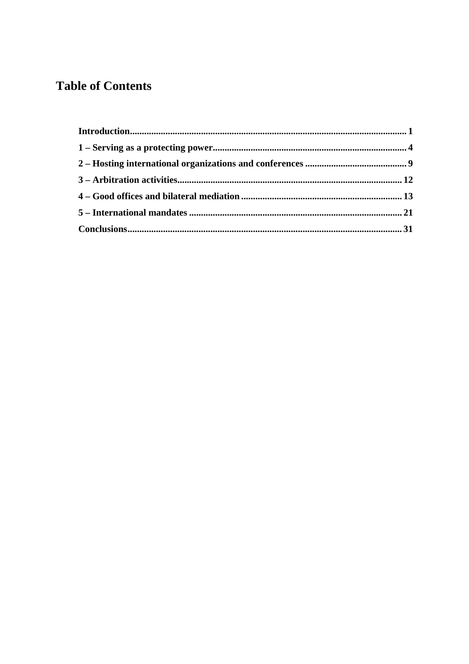## **Table of Contents**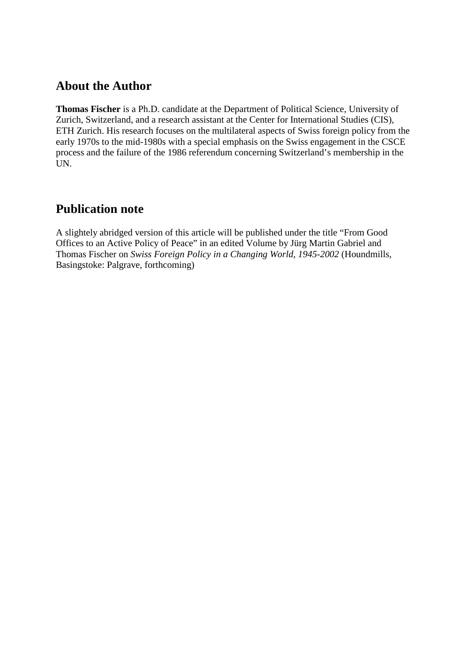### **About the Author**

**Thomas Fischer** is a Ph.D. candidate at the Department of Political Science, University of Zurich, Switzerland, and a research assistant at the Center for International Studies (CIS), ETH Zurich. His research focuses on the multilateral aspects of Swiss foreign policy from the early 1970s to the mid-1980s with a special emphasis on the Swiss engagement in the CSCE process and the failure of the 1986 referendum concerning Switzerland's membership in the UN.

### **Publication note**

A slightely abridged version of this article will be published under the title "From Good Offices to an Active Policy of Peace" in an edited Volume by Jürg Martin Gabriel and Thomas Fischer on *Swiss Foreign Policy in a Changing World, 1945-2002* (Houndmills, Basingstoke: Palgrave, forthcoming)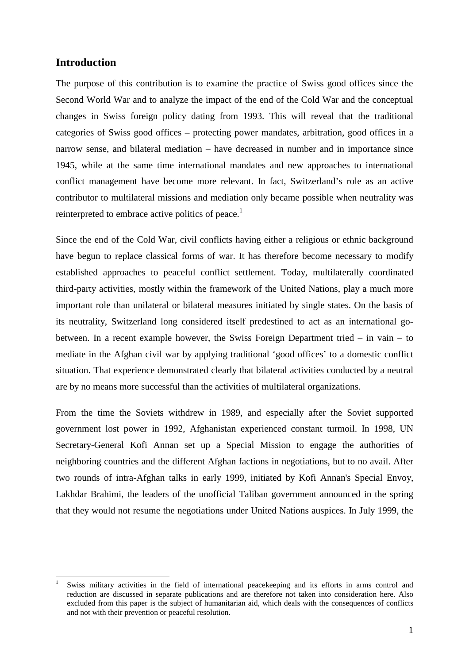#### **Introduction**

 $\overline{a}$ 

The purpose of this contribution is to examine the practice of Swiss good offices since the Second World War and to analyze the impact of the end of the Cold War and the conceptual changes in Swiss foreign policy dating from 1993. This will reveal that the traditional categories of Swiss good offices – protecting power mandates, arbitration, good offices in a narrow sense, and bilateral mediation – have decreased in number and in importance since 1945, while at the same time international mandates and new approaches to international conflict management have become more relevant. In fact, Switzerland's role as an active contributor to multilateral missions and mediation only became possible when neutrality was reinterpreted to embrace active politics of peace.<sup>1</sup>

Since the end of the Cold War, civil conflicts having either a religious or ethnic background have begun to replace classical forms of war. It has therefore become necessary to modify established approaches to peaceful conflict settlement. Today, multilaterally coordinated third-party activities, mostly within the framework of the United Nations, play a much more important role than unilateral or bilateral measures initiated by single states. On the basis of its neutrality, Switzerland long considered itself predestined to act as an international gobetween. In a recent example however, the Swiss Foreign Department tried – in vain – to mediate in the Afghan civil war by applying traditional 'good offices' to a domestic conflict situation. That experience demonstrated clearly that bilateral activities conducted by a neutral are by no means more successful than the activities of multilateral organizations.

From the time the Soviets withdrew in 1989, and especially after the Soviet supported government lost power in 1992, Afghanistan experienced constant turmoil. In 1998, UN Secretary-General Kofi Annan set up a Special Mission to engage the authorities of neighboring countries and the different Afghan factions in negotiations, but to no avail. After two rounds of intra-Afghan talks in early 1999, initiated by Kofi Annan's Special Envoy, Lakhdar Brahimi, the leaders of the unofficial Taliban government announced in the spring that they would not resume the negotiations under United Nations auspices. In July 1999, the

<sup>1</sup> Swiss military activities in the field of international peacekeeping and its efforts in arms control and reduction are discussed in separate publications and are therefore not taken into consideration here. Also excluded from this paper is the subject of humanitarian aid, which deals with the consequences of conflicts and not with their prevention or peaceful resolution.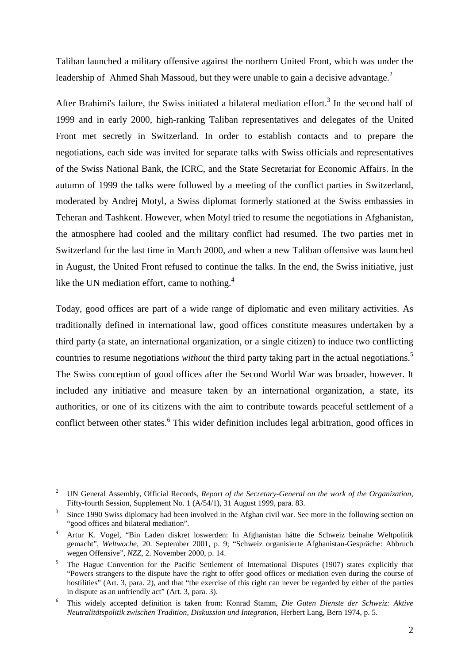Taliban launched a military offensive against the northern United Front, which was under the leadership of Ahmed Shah Massoud, but they were unable to gain a decisive advantage.<sup>2</sup>

After Brahimi's failure, the Swiss initiated a bilateral mediation effort.<sup>3</sup> In the second half of 1999 and in early 2000, high-ranking Taliban representatives and delegates of the United Front met secretly in Switzerland. In order to establish contacts and to prepare the negotiations, each side was invited for separate talks with Swiss officials and representatives of the Swiss National Bank, the ICRC, and the State Secretariat for Economic Affairs. In the autumn of 1999 the talks were followed by a meeting of the conflict parties in Switzerland, moderated by Andrej Motyl, a Swiss diplomat formerly stationed at the Swiss embassies in Teheran and Tashkent. However, when Motyl tried to resume the negotiations in Afghanistan, the atmosphere had cooled and the military conflict had resumed. The two parties met in Switzerland for the last time in March 2000, and when a new Taliban offensive was launched in August, the United Front refused to continue the talks. In the end, the Swiss initiative, just like the UN mediation effort, came to nothing. $4$ 

Today, good offices are part of a wide range of diplomatic and even military activities. As traditionally defined in international law, good offices constitute measures undertaken by a third party (a state, an international organization, or a single citizen) to induce two conflicting countries to resume negotiations *without* the third party taking part in the actual negotiations.<sup>5</sup> The Swiss conception of good offices after the Second World War was broader, however. It included any initiative and measure taken by an international organization, a state, its authorities, or one of its citizens with the aim to contribute towards peaceful settlement of a conflict between other states.<sup>6</sup> This wider definition includes legal arbitration, good offices in

<sup>2</sup> UN General Assembly, Official Records, *Report of the Secretary-General on the work of the Organization*, Fifty-fourth Session, Supplement No. 1  $(A/54/1)$ , 31 August 1999, para. 83.

Since 1990 Swiss diplomacy had been involved in the Afghan civil war. See more in the following section on "good offices and bilateral mediation".

<sup>4</sup> Artur K. Vogel, "Bin Laden diskret loswerden: In Afghanistan hätte die Schweiz beinahe Weltpolitik gemacht", *Weltwoche*, 20. September 2001, p. 9; "Schweiz organisierte Afghanistan-Gespräche: Abbruch wegen Offensive", *NZZ*, 2. November 2000, p. 14.

The Hague Convention for the Pacific Settlement of International Disputes (1907) states explicitly that "Powers strangers to the dispute have the right to offer good offices or mediation even during the course of hostilities" (Art. 3, para. 2), and that "the exercise of this right can never be regarded by either of the parties in dispute as an unfriendly act" (Art. 3, para. 3).

<sup>6</sup> This widely accepted definition is taken from: Konrad Stamm, *Die Guten Dienste der Schweiz: Aktive Neutralitätspolitik zwischen Tradition, Diskussion und Integration*, Herbert Lang, Bern 1974, p. 5.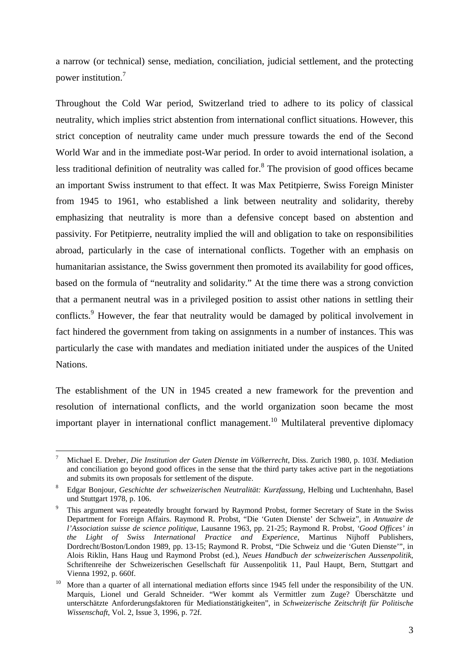a narrow (or technical) sense, mediation, conciliation, judicial settlement, and the protecting power institution.<sup>7</sup>

Throughout the Cold War period, Switzerland tried to adhere to its policy of classical neutrality, which implies strict abstention from international conflict situations. However, this strict conception of neutrality came under much pressure towards the end of the Second World War and in the immediate post-War period. In order to avoid international isolation, a less traditional definition of neutrality was called for.<sup>8</sup> The provision of good offices became an important Swiss instrument to that effect. It was Max Petitpierre, Swiss Foreign Minister from 1945 to 1961, who established a link between neutrality and solidarity, thereby emphasizing that neutrality is more than a defensive concept based on abstention and passivity. For Petitpierre, neutrality implied the will and obligation to take on responsibilities abroad, particularly in the case of international conflicts. Together with an emphasis on humanitarian assistance, the Swiss government then promoted its availability for good offices, based on the formula of "neutrality and solidarity." At the time there was a strong conviction that a permanent neutral was in a privileged position to assist other nations in settling their conflicts.<sup>9</sup> However, the fear that neutrality would be damaged by political involvement in fact hindered the government from taking on assignments in a number of instances. This was particularly the case with mandates and mediation initiated under the auspices of the United Nations.

The establishment of the UN in 1945 created a new framework for the prevention and resolution of international conflicts, and the world organization soon became the most important player in international conflict management.<sup>10</sup> Multilateral preventive diplomacy

<sup>7</sup> Michael E. Dreher, *Die Institution der Guten Dienste im Völkerrecht*, Diss. Zurich 1980, p. 103f. Mediation and conciliation go beyond good offices in the sense that the third party takes active part in the negotiations and submits its own proposals for settlement of the dispute.

<sup>8</sup> Edgar Bonjour, *Geschichte der schweizerischen Neutralität: Kurzfassung*, Helbing und Luchtenhahn, Basel und Stuttgart 1978, p. 106.

This argument was repeatedly brought forward by Raymond Probst, former Secretary of State in the Swiss Department for Foreign Affairs. Raymond R. Probst, "Die 'Guten Dienste' der Schweiz", in *Annuaire de l'Association suisse de science politique*, Lausanne 1963, pp. 21-25; Raymond R. Probst, *'Good Offices' in the Light of Swiss International Practice and Experience*, Martinus Nijhoff Publishers, Dordrecht/Boston/London 1989, pp. 13-15; Raymond R. Probst, "Die Schweiz und die 'Guten Dienste'", in Alois Riklin, Hans Haug und Raymond Probst (ed.), *Neues Handbuch der schweizerischen Aussenpolitik*, Schriftenreihe der Schweizerischen Gesellschaft für Aussenpolitik 11, Paul Haupt, Bern, Stuttgart and Vienna 1992, p. 660f.

<sup>&</sup>lt;sup>10</sup> More than a quarter of all international mediation efforts since 1945 fell under the responsibility of the UN. Marquis, Lionel und Gerald Schneider. "Wer kommt als Vermittler zum Zuge? Überschätzte und unterschätzte Anforderungsfaktoren für Mediationstätigkeiten", in *Schweizerische Zeitschrift für Politische Wissenschaft*, Vol. 2, Issue 3, 1996, p. 72f.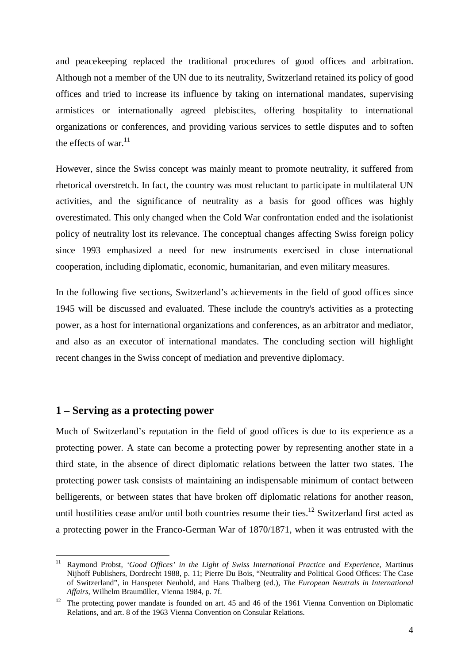and peacekeeping replaced the traditional procedures of good offices and arbitration. Although not a member of the UN due to its neutrality, Switzerland retained its policy of good offices and tried to increase its influence by taking on international mandates, supervising armistices or internationally agreed plebiscites, offering hospitality to international organizations or conferences, and providing various services to settle disputes and to soften the effects of war. $^{11}$ 

However, since the Swiss concept was mainly meant to promote neutrality, it suffered from rhetorical overstretch. In fact, the country was most reluctant to participate in multilateral UN activities, and the significance of neutrality as a basis for good offices was highly overestimated. This only changed when the Cold War confrontation ended and the isolationist policy of neutrality lost its relevance. The conceptual changes affecting Swiss foreign policy since 1993 emphasized a need for new instruments exercised in close international cooperation, including diplomatic, economic, humanitarian, and even military measures.

In the following five sections, Switzerland's achievements in the field of good offices since 1945 will be discussed and evaluated. These include the country's activities as a protecting power, as a host for international organizations and conferences, as an arbitrator and mediator, and also as an executor of international mandates. The concluding section will highlight recent changes in the Swiss concept of mediation and preventive diplomacy.

#### **1 – Serving as a protecting power**

 $\overline{a}$ 

Much of Switzerland's reputation in the field of good offices is due to its experience as a protecting power. A state can become a protecting power by representing another state in a third state, in the absence of direct diplomatic relations between the latter two states. The protecting power task consists of maintaining an indispensable minimum of contact between belligerents, or between states that have broken off diplomatic relations for another reason, until hostilities cease and/or until both countries resume their ties.<sup>12</sup> Switzerland first acted as a protecting power in the Franco-German War of 1870/1871, when it was entrusted with the

<sup>11</sup> Raymond Probst, *'Good Offices' in the Light of Swiss International Practice and Experience*, Martinus Nijhoff Publishers, Dordrecht 1988, p. 11; Pierre Du Bois, "Neutrality and Political Good Offices: The Case of Switzerland", in Hanspeter Neuhold, and Hans Thalberg (ed.), *The European Neutrals in International Affairs*, Wilhelm Braumüller, Vienna 1984, p. 7f.

<sup>&</sup>lt;sup>12</sup> The protecting power mandate is founded on art. 45 and 46 of the 1961 Vienna Convention on Diplomatic Relations, and art. 8 of the 1963 Vienna Convention on Consular Relations.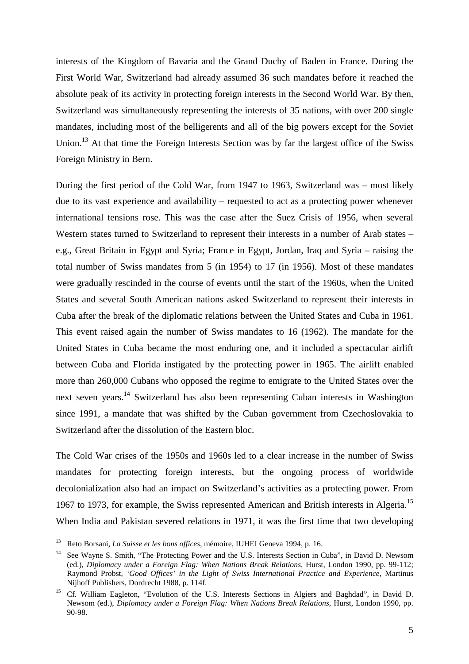interests of the Kingdom of Bavaria and the Grand Duchy of Baden in France. During the First World War, Switzerland had already assumed 36 such mandates before it reached the absolute peak of its activity in protecting foreign interests in the Second World War. By then, Switzerland was simultaneously representing the interests of 35 nations, with over 200 single mandates, including most of the belligerents and all of the big powers except for the Soviet Union.<sup>13</sup> At that time the Foreign Interests Section was by far the largest office of the Swiss Foreign Ministry in Bern.

During the first period of the Cold War, from 1947 to 1963, Switzerland was – most likely due to its vast experience and availability – requested to act as a protecting power whenever international tensions rose. This was the case after the Suez Crisis of 1956, when several Western states turned to Switzerland to represent their interests in a number of Arab states – e.g., Great Britain in Egypt and Syria; France in Egypt, Jordan, Iraq and Syria – raising the total number of Swiss mandates from 5 (in 1954) to 17 (in 1956). Most of these mandates were gradually rescinded in the course of events until the start of the 1960s, when the United States and several South American nations asked Switzerland to represent their interests in Cuba after the break of the diplomatic relations between the United States and Cuba in 1961. This event raised again the number of Swiss mandates to 16 (1962). The mandate for the United States in Cuba became the most enduring one, and it included a spectacular airlift between Cuba and Florida instigated by the protecting power in 1965. The airlift enabled more than 260,000 Cubans who opposed the regime to emigrate to the United States over the next seven years.14 Switzerland has also been representing Cuban interests in Washington since 1991, a mandate that was shifted by the Cuban government from Czechoslovakia to Switzerland after the dissolution of the Eastern bloc.

The Cold War crises of the 1950s and 1960s led to a clear increase in the number of Swiss mandates for protecting foreign interests, but the ongoing process of worldwide decolonialization also had an impact on Switzerland's activities as a protecting power. From 1967 to 1973, for example, the Swiss represented American and British interests in Algeria.<sup>15</sup> When India and Pakistan severed relations in 1971, it was the first time that two developing

<sup>&</sup>lt;sup>13</sup> Reto Borsani, *La Suisse et les bons offices*, mémoire, IUHEI Geneva 1994, p. 16.<br><sup>14</sup> See Wayne S. Smith, "The Protecting Power and the U.S. Interests Section in Cuba", in David D. Newsom (ed.), *Diplomacy under a Foreign Flag: When Nations Break Relations*, Hurst, London 1990, pp. 99-112; Raymond Probst, *'Good Offices' in the Light of Swiss International Practice and Experience*, Martinus Nijhoff Publishers, Dordrecht 1988, p. 114f.

<sup>&</sup>lt;sup>15</sup> Cf. William Eagleton, "Evolution of the U.S. Interests Sections in Algiers and Baghdad", in David D. Newsom (ed.), *Diplomacy under a Foreign Flag: When Nations Break Relations*, Hurst, London 1990, pp. 90-98.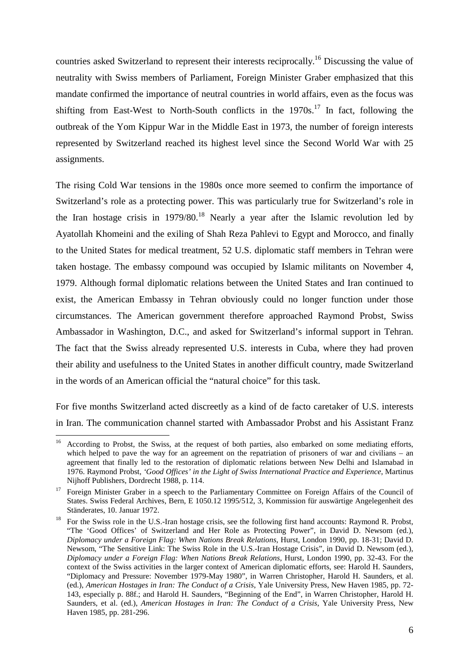countries asked Switzerland to represent their interests reciprocally.<sup>16</sup> Discussing the value of neutrality with Swiss members of Parliament, Foreign Minister Graber emphasized that this mandate confirmed the importance of neutral countries in world affairs, even as the focus was shifting from East-West to North-South conflicts in the  $1970s$ <sup>17</sup> In fact, following the outbreak of the Yom Kippur War in the Middle East in 1973, the number of foreign interests represented by Switzerland reached its highest level since the Second World War with 25 assignments.

The rising Cold War tensions in the 1980s once more seemed to confirm the importance of Switzerland's role as a protecting power. This was particularly true for Switzerland's role in the Iran hostage crisis in  $1979/80$ <sup>18</sup> Nearly a year after the Islamic revolution led by Ayatollah Khomeini and the exiling of Shah Reza Pahlevi to Egypt and Morocco, and finally to the United States for medical treatment, 52 U.S. diplomatic staff members in Tehran were taken hostage. The embassy compound was occupied by Islamic militants on November 4, 1979. Although formal diplomatic relations between the United States and Iran continued to exist, the American Embassy in Tehran obviously could no longer function under those circumstances. The American government therefore approached Raymond Probst, Swiss Ambassador in Washington, D.C., and asked for Switzerland's informal support in Tehran. The fact that the Swiss already represented U.S. interests in Cuba, where they had proven their ability and usefulness to the United States in another difficult country, made Switzerland in the words of an American official the "natural choice" for this task.

For five months Switzerland acted discreetly as a kind of de facto caretaker of U.S. interests in Iran. The communication channel started with Ambassador Probst and his Assistant Franz

<sup>&</sup>lt;sup>16</sup> According to Probst, the Swiss, at the request of both parties, also embarked on some mediating efforts, which helped to pave the way for an agreement on the repatriation of prisoners of war and civilians – an agreement that finally led to the restoration of diplomatic relations between New Delhi and Islamabad in 1976. Raymond Probst, *'Good Offices' in the Light of Swiss International Practice and Experience*, Martinus Nijhoff Publishers, Dordrecht 1988, p. 114.

<sup>17</sup> Foreign Minister Graber in a speech to the Parliamentary Committee on Foreign Affairs of the Council of States. Swiss Federal Archives, Bern, E 1050.12 1995/512, 3, Kommission für auswärtige Angelegenheit des Ständerates, 10. Januar 1972.<br>For the Swiss role in the U.S.-Iran hostage crisis, see the following first hand accounts: Raymond R. Probst,

<sup>&</sup>quot;The 'Good Offices' of Switzerland and Her Role as Protecting Power", in David D. Newsom (ed.), *Diplomacy under a Foreign Flag: When Nations Break Relations*, Hurst, London 1990, pp. 18-31; David D. Newsom, "The Sensitive Link: The Swiss Role in the U.S.-Iran Hostage Crisis", in David D. Newsom (ed.), *Diplomacy under a Foreign Flag: When Nations Break Relations*, Hurst, London 1990, pp. 32-43. For the context of the Swiss activities in the larger context of American diplomatic efforts, see: Harold H. Saunders, "Diplomacy and Pressure: November 1979-May 1980", in Warren Christopher, Harold H. Saunders, et al. (ed.), *American Hostages in Iran: The Conduct of a Crisis*, Yale University Press, New Haven 1985, pp. 72- 143, especially p. 88f.; and Harold H. Saunders, "Beginning of the End", in Warren Christopher, Harold H. Saunders, et al. (ed.), *American Hostages in Iran: The Conduct of a Crisis*, Yale University Press, New Haven 1985, pp. 281-296.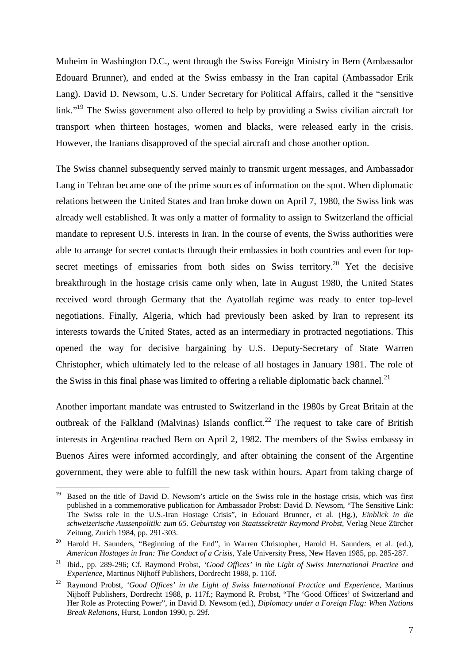Muheim in Washington D.C., went through the Swiss Foreign Ministry in Bern (Ambassador Edouard Brunner), and ended at the Swiss embassy in the Iran capital (Ambassador Erik Lang). David D. Newsom, U.S. Under Secretary for Political Affairs, called it the "sensitive link."<sup>19</sup> The Swiss government also offered to help by providing a Swiss civilian aircraft for transport when thirteen hostages, women and blacks, were released early in the crisis. However, the Iranians disapproved of the special aircraft and chose another option.

The Swiss channel subsequently served mainly to transmit urgent messages, and Ambassador Lang in Tehran became one of the prime sources of information on the spot. When diplomatic relations between the United States and Iran broke down on April 7, 1980, the Swiss link was already well established. It was only a matter of formality to assign to Switzerland the official mandate to represent U.S. interests in Iran. In the course of events, the Swiss authorities were able to arrange for secret contacts through their embassies in both countries and even for topsecret meetings of emissaries from both sides on Swiss territory.<sup>20</sup> Yet the decisive breakthrough in the hostage crisis came only when, late in August 1980, the United States received word through Germany that the Ayatollah regime was ready to enter top-level negotiations. Finally, Algeria, which had previously been asked by Iran to represent its interests towards the United States, acted as an intermediary in protracted negotiations. This opened the way for decisive bargaining by U.S. Deputy-Secretary of State Warren Christopher, which ultimately led to the release of all hostages in January 1981. The role of the Swiss in this final phase was limited to offering a reliable diplomatic back channel.<sup>21</sup>

Another important mandate was entrusted to Switzerland in the 1980s by Great Britain at the outbreak of the Falkland (Malvinas) Islands conflict.<sup>22</sup> The request to take care of British interests in Argentina reached Bern on April 2, 1982. The members of the Swiss embassy in Buenos Aires were informed accordingly, and after obtaining the consent of the Argentine government, they were able to fulfill the new task within hours. Apart from taking charge of

<sup>19</sup> 19 Based on the title of David D. Newsom's article on the Swiss role in the hostage crisis, which was first published in a commemorative publication for Ambassador Probst: David D. Newsom, "The Sensitive Link: The Swiss role in the U.S.-Iran Hostage Crisis", in Edouard Brunner, et al. (Hg.), *Einblick in die schweizerische Aussenpolitik: zum 65. Geburtstag von Staatssekretär Raymond Probst*, Verlag Neue Zürcher Zeitung, Zurich 1984, pp. 291-303.

<sup>&</sup>lt;sup>20</sup> Harold H. Saunders, "Beginning of the End", in Warren Christopher, Harold H. Saunders, et al. (ed.), *American Hostages in Iran: The Conduct of a Crisis*, Yale University Press, New Haven 1985, pp. 285-287.

<sup>&</sup>lt;sup>21</sup> Ibid., pp. 289-296; Cf. Raymond Probst, 'Good Offices' in the Light of Swiss International Practice and *Experience*, Martinus Nijhoff Publishers, Dordrecht 1988, p. 116f.

<sup>22</sup> Raymond Probst, *'Good Offices' in the Light of Swiss International Practice and Experience*, Martinus Nijhoff Publishers, Dordrecht 1988, p. 117f.; Raymond R. Probst, "The 'Good Offices' of Switzerland and Her Role as Protecting Power", in David D. Newsom (ed.), *Diplomacy under a Foreign Flag: When Nations Break Relations*, Hurst, London 1990, p. 29f.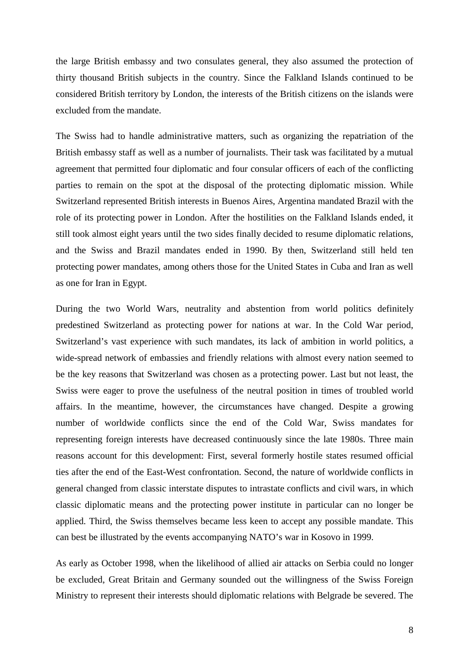the large British embassy and two consulates general, they also assumed the protection of thirty thousand British subjects in the country. Since the Falkland Islands continued to be considered British territory by London, the interests of the British citizens on the islands were excluded from the mandate.

The Swiss had to handle administrative matters, such as organizing the repatriation of the British embassy staff as well as a number of journalists. Their task was facilitated by a mutual agreement that permitted four diplomatic and four consular officers of each of the conflicting parties to remain on the spot at the disposal of the protecting diplomatic mission. While Switzerland represented British interests in Buenos Aires, Argentina mandated Brazil with the role of its protecting power in London. After the hostilities on the Falkland Islands ended, it still took almost eight years until the two sides finally decided to resume diplomatic relations, and the Swiss and Brazil mandates ended in 1990. By then, Switzerland still held ten protecting power mandates, among others those for the United States in Cuba and Iran as well as one for Iran in Egypt.

During the two World Wars, neutrality and abstention from world politics definitely predestined Switzerland as protecting power for nations at war. In the Cold War period, Switzerland's vast experience with such mandates, its lack of ambition in world politics, a wide-spread network of embassies and friendly relations with almost every nation seemed to be the key reasons that Switzerland was chosen as a protecting power. Last but not least, the Swiss were eager to prove the usefulness of the neutral position in times of troubled world affairs. In the meantime, however, the circumstances have changed. Despite a growing number of worldwide conflicts since the end of the Cold War, Swiss mandates for representing foreign interests have decreased continuously since the late 1980s. Three main reasons account for this development: First, several formerly hostile states resumed official ties after the end of the East-West confrontation. Second, the nature of worldwide conflicts in general changed from classic interstate disputes to intrastate conflicts and civil wars, in which classic diplomatic means and the protecting power institute in particular can no longer be applied. Third, the Swiss themselves became less keen to accept any possible mandate. This can best be illustrated by the events accompanying NATO's war in Kosovo in 1999.

As early as October 1998, when the likelihood of allied air attacks on Serbia could no longer be excluded, Great Britain and Germany sounded out the willingness of the Swiss Foreign Ministry to represent their interests should diplomatic relations with Belgrade be severed. The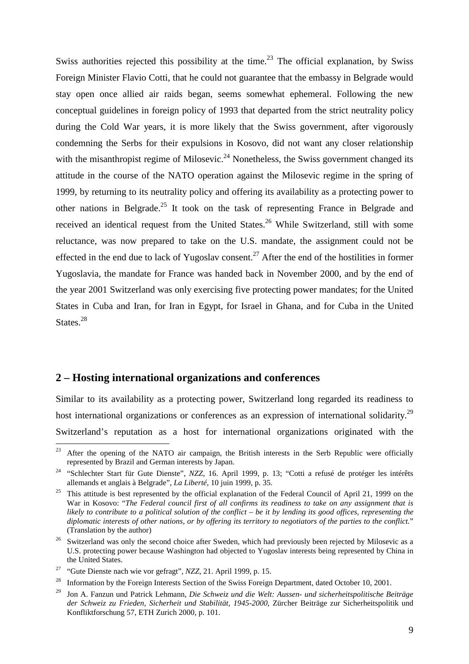Swiss authorities rejected this possibility at the time.<sup>23</sup> The official explanation, by Swiss Foreign Minister Flavio Cotti, that he could not guarantee that the embassy in Belgrade would stay open once allied air raids began, seems somewhat ephemeral. Following the new conceptual guidelines in foreign policy of 1993 that departed from the strict neutrality policy during the Cold War years, it is more likely that the Swiss government, after vigorously condemning the Serbs for their expulsions in Kosovo, did not want any closer relationship with the misanthropist regime of Milosevic.<sup>24</sup> Nonetheless, the Swiss government changed its attitude in the course of the NATO operation against the Milosevic regime in the spring of 1999, by returning to its neutrality policy and offering its availability as a protecting power to other nations in Belgrade.25 It took on the task of representing France in Belgrade and received an identical request from the United States.<sup>26</sup> While Switzerland, still with some reluctance, was now prepared to take on the U.S. mandate, the assignment could not be effected in the end due to lack of Yugoslav consent.<sup>27</sup> After the end of the hostilities in former Yugoslavia, the mandate for France was handed back in November 2000, and by the end of the year 2001 Switzerland was only exercising five protecting power mandates; for the United States in Cuba and Iran, for Iran in Egypt, for Israel in Ghana, and for Cuba in the United States.<sup>28</sup>

#### **2 – Hosting international organizations and conferences**

Similar to its availability as a protecting power, Switzerland long regarded its readiness to host international organizations or conferences as an expression of international solidarity.<sup>29</sup> Switzerland's reputation as a host for international organizations originated with the

<sup>23</sup> After the opening of the NATO air campaign, the British interests in the Serb Republic were officially

represented by Brazil and German interests by Japan.<br><sup>24</sup> "Schlechter Start für Gute Dienste", *NZZ*, 16. April 1999, p. 13; "Cotti a refusé de protéger les intérêts allemands et anglais à Belgrade", *La Liberté*, 10 juin

<sup>&</sup>lt;sup>25</sup> This attitude is best represented by the official explanation of the Federal Council of April 21, 1999 on the War in Kosovo: "*The Federal council first of all confirms its readiness to take on any assignment that is likely to contribute to a political solution of the conflict – be it by lending its good offices, representing the diplomatic interests of other nations, or by offering its territory to negotiators of the parties to the conflict.*" (Translation by the author)

<sup>&</sup>lt;sup>26</sup> Switzerland was only the second choice after Sweden, which had previously been rejected by Milosevic as a U.S. protecting power because Washington had objected to Yugoslav interests being represented by China in the United States.<br><sup>27</sup> "Gute Dienste nach wie vor gefragt", *NZZ*, 21. April 1999, p. 15.<br><sup>28</sup> Information by the Foreign Interests Section of the Swiss Foreign Department, dated October 10, 2001.

<sup>29</sup> Jon A. Fanzun und Patrick Lehmann, *Die Schweiz und die Welt: Aussen- und sicherheitspolitische Beiträge der Schweiz zu Frieden, Sicherheit und Stabilität, 1945-2000*, Zürcher Beiträge zur Sicherheitspolitik und Konfliktforschung 57, ETH Zurich 2000, p. 101.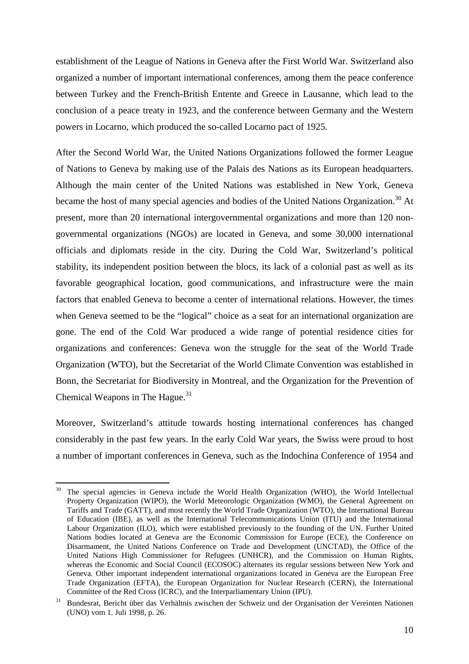establishment of the League of Nations in Geneva after the First World War. Switzerland also organized a number of important international conferences, among them the peace conference between Turkey and the French-British Entente and Greece in Lausanne, which lead to the conclusion of a peace treaty in 1923, and the conference between Germany and the Western powers in Locarno, which produced the so-called Locarno pact of 1925.

After the Second World War, the United Nations Organizations followed the former League of Nations to Geneva by making use of the Palais des Nations as its European headquarters. Although the main center of the United Nations was established in New York, Geneva became the host of many special agencies and bodies of the United Nations Organization.<sup>30</sup> At present, more than 20 international intergovernmental organizations and more than 120 nongovernmental organizations (NGOs) are located in Geneva, and some 30,000 international officials and diplomats reside in the city. During the Cold War, Switzerland's political stability, its independent position between the blocs, its lack of a colonial past as well as its favorable geographical location, good communications, and infrastructure were the main factors that enabled Geneva to become a center of international relations. However, the times when Geneva seemed to be the "logical" choice as a seat for an international organization are gone. The end of the Cold War produced a wide range of potential residence cities for organizations and conferences: Geneva won the struggle for the seat of the World Trade Organization (WTO), but the Secretariat of the World Climate Convention was established in Bonn, the Secretariat for Biodiversity in Montreal, and the Organization for the Prevention of Chemical Weapons in The Hague. $31$ 

Moreover, Switzerland's attitude towards hosting international conferences has changed considerably in the past few years. In the early Cold War years, the Swiss were proud to host a number of important conferences in Geneva, such as the Indochina Conference of 1954 and

<sup>&</sup>lt;sup>30</sup> The special agencies in Geneva include the World Health Organization (WHO), the World Intellectual Property Organization (WIPO), the World Meteorologic Organization (WMO), the General Agreement on Tariffs and Trade (GATT), and most recently the World Trade Organization (WTO), the International Bureau of Education (IBE), as well as the International Telecommunications Union (ITU) and the International Labour Organization (ILO), which were established previously to the founding of the UN. Further United Nations bodies located at Geneva are the Economic Commission for Europe (ECE), the Conference on Disarmament, the United Nations Conference on Trade and Development (UNCTAD), the Office of the United Nations High Commissioner for Refugees (UNHCR), and the Commission on Human Rights, whereas the Economic and Social Council (ECOSOC) alternates its regular sessions between New York and Geneva. Other important independent international organizations located in Geneva are the European Free Trade Organization (EFTA), the European Organization for Nuclear Research (CERN), the International Committee of the Red Cross (ICRC), and the Interparliamentary Union (IPU).

<sup>&</sup>lt;sup>31</sup> Bundesrat, Bericht über das Verhältnis zwischen der Schweiz und der Organisation der Vereinten Nationen (UNO) vom 1. Juli 1998, p. 26.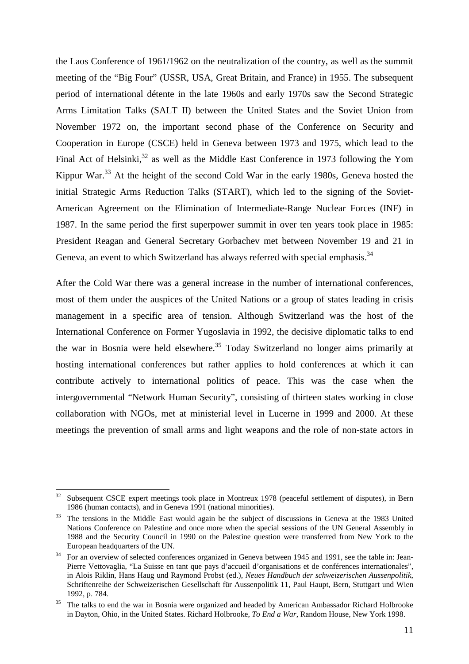the Laos Conference of 1961/1962 on the neutralization of the country, as well as the summit meeting of the "Big Four" (USSR, USA, Great Britain, and France) in 1955. The subsequent period of international détente in the late 1960s and early 1970s saw the Second Strategic Arms Limitation Talks (SALT II) between the United States and the Soviet Union from November 1972 on, the important second phase of the Conference on Security and Cooperation in Europe (CSCE) held in Geneva between 1973 and 1975, which lead to the Final Act of Helsinki, $32$  as well as the Middle East Conference in 1973 following the Yom Kippur War.<sup>33</sup> At the height of the second Cold War in the early 1980s, Geneva hosted the initial Strategic Arms Reduction Talks (START), which led to the signing of the Soviet-American Agreement on the Elimination of Intermediate-Range Nuclear Forces (INF) in 1987. In the same period the first superpower summit in over ten years took place in 1985: President Reagan and General Secretary Gorbachev met between November 19 and 21 in Geneva, an event to which Switzerland has always referred with special emphasis.  $34$ 

After the Cold War there was a general increase in the number of international conferences, most of them under the auspices of the United Nations or a group of states leading in crisis management in a specific area of tension. Although Switzerland was the host of the International Conference on Former Yugoslavia in 1992, the decisive diplomatic talks to end the war in Bosnia were held elsewhere.<sup>35</sup> Today Switzerland no longer aims primarily at hosting international conferences but rather applies to hold conferences at which it can contribute actively to international politics of peace. This was the case when the intergovernmental "Network Human Security", consisting of thirteen states working in close collaboration with NGOs, met at ministerial level in Lucerne in 1999 and 2000. At these meetings the prevention of small arms and light weapons and the role of non-state actors in

 $\overline{a}$ Subsequent CSCE expert meetings took place in Montreux 1978 (peaceful settlement of disputes), in Bern 1986 (human contacts), and in Geneva 1991 (national minorities).

<sup>&</sup>lt;sup>33</sup> The tensions in the Middle East would again be the subject of discussions in Geneva at the 1983 United Nations Conference on Palestine and once more when the special sessions of the UN General Assembly in 1988 and the Security Council in 1990 on the Palestine question were transferred from New York to the European headquarters of the UN.<br><sup>34</sup> For an overview of selected conferences organized in Geneva between 1945 and 1991, see the table in: Jean-

Pierre Vettovaglia, "La Suisse en tant que pays d'accueil d'organisations et de conférences internationales", in Alois Riklin, Hans Haug und Raymond Probst (ed.), *Neues Handbuch der schweizerischen Aussenpolitik*, Schriftenreihe der Schweizerischen Gesellschaft für Aussenpolitik 11, Paul Haupt, Bern, Stuttgart und Wien 1992, p. 784.

<sup>&</sup>lt;sup>35</sup> The talks to end the war in Bosnia were organized and headed by American Ambassador Richard Holbrooke in Dayton, Ohio, in the United States. Richard Holbrooke, *To End a War*, Random House, New York 1998.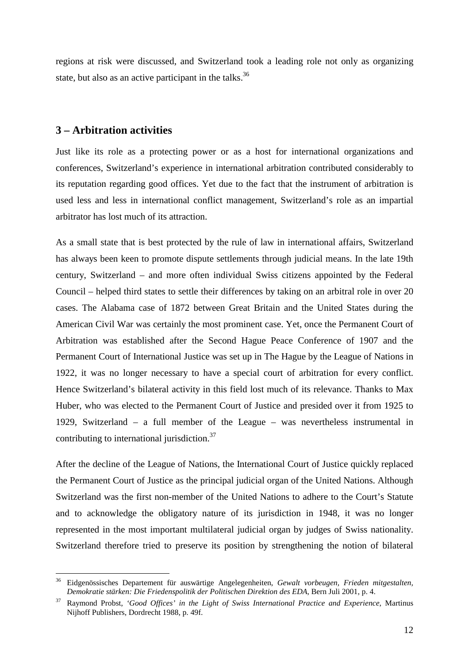regions at risk were discussed, and Switzerland took a leading role not only as organizing state, but also as an active participant in the talks.<sup>36</sup>

#### **3 – Arbitration activities**

 $\overline{a}$ 

Just like its role as a protecting power or as a host for international organizations and conferences, Switzerland's experience in international arbitration contributed considerably to its reputation regarding good offices. Yet due to the fact that the instrument of arbitration is used less and less in international conflict management, Switzerland's role as an impartial arbitrator has lost much of its attraction.

As a small state that is best protected by the rule of law in international affairs, Switzerland has always been keen to promote dispute settlements through judicial means. In the late 19th century, Switzerland – and more often individual Swiss citizens appointed by the Federal Council – helped third states to settle their differences by taking on an arbitral role in over 20 cases. The Alabama case of 1872 between Great Britain and the United States during the American Civil War was certainly the most prominent case. Yet, once the Permanent Court of Arbitration was established after the Second Hague Peace Conference of 1907 and the Permanent Court of International Justice was set up in The Hague by the League of Nations in 1922, it was no longer necessary to have a special court of arbitration for every conflict. Hence Switzerland's bilateral activity in this field lost much of its relevance. Thanks to Max Huber, who was elected to the Permanent Court of Justice and presided over it from 1925 to 1929, Switzerland – a full member of the League – was nevertheless instrumental in contributing to international jurisdiction.<sup>37</sup>

After the decline of the League of Nations, the International Court of Justice quickly replaced the Permanent Court of Justice as the principal judicial organ of the United Nations. Although Switzerland was the first non-member of the United Nations to adhere to the Court's Statute and to acknowledge the obligatory nature of its jurisdiction in 1948, it was no longer represented in the most important multilateral judicial organ by judges of Swiss nationality. Switzerland therefore tried to preserve its position by strengthening the notion of bilateral

<sup>36</sup> Eidgenössisches Departement für auswärtige Angelegenheiten, *Gewalt vorbeugen, Frieden mitgestalten, Demokratie stärken: Die Friedenspolitik der Politischen Direktion des EDA*, Bern Juli 2001, p. 4.

<sup>37</sup> Raymond Probst, *'Good Offices' in the Light of Swiss International Practice and Experience*, Martinus Nijhoff Publishers, Dordrecht 1988, p. 49f.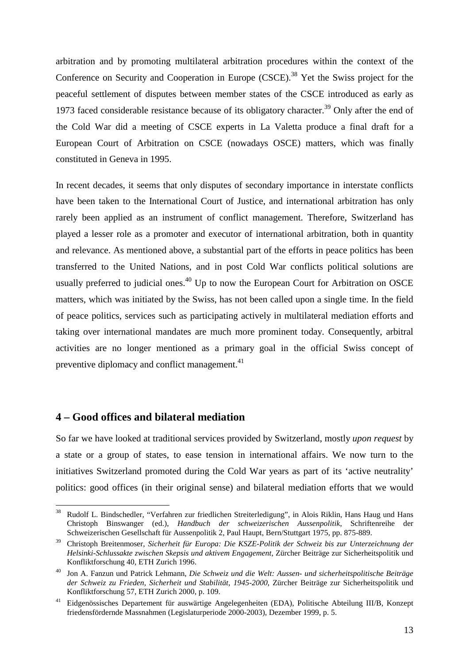arbitration and by promoting multilateral arbitration procedures within the context of the Conference on Security and Cooperation in Europe (CSCE).<sup>38</sup> Yet the Swiss project for the peaceful settlement of disputes between member states of the CSCE introduced as early as 1973 faced considerable resistance because of its obligatory character.<sup>39</sup> Only after the end of the Cold War did a meeting of CSCE experts in La Valetta produce a final draft for a European Court of Arbitration on CSCE (nowadays OSCE) matters, which was finally constituted in Geneva in 1995.

In recent decades, it seems that only disputes of secondary importance in interstate conflicts have been taken to the International Court of Justice, and international arbitration has only rarely been applied as an instrument of conflict management. Therefore, Switzerland has played a lesser role as a promoter and executor of international arbitration, both in quantity and relevance. As mentioned above, a substantial part of the efforts in peace politics has been transferred to the United Nations, and in post Cold War conflicts political solutions are usually preferred to judicial ones.<sup>40</sup> Up to now the European Court for Arbitration on OSCE matters, which was initiated by the Swiss, has not been called upon a single time. In the field of peace politics, services such as participating actively in multilateral mediation efforts and taking over international mandates are much more prominent today. Consequently, arbitral activities are no longer mentioned as a primary goal in the official Swiss concept of preventive diplomacy and conflict management.<sup>41</sup>

#### **4 – Good offices and bilateral mediation**

 $\overline{a}$ 

So far we have looked at traditional services provided by Switzerland, mostly *upon request* by a state or a group of states, to ease tension in international affairs. We now turn to the initiatives Switzerland promoted during the Cold War years as part of its 'active neutrality' politics: good offices (in their original sense) and bilateral mediation efforts that we would

<sup>38</sup> Rudolf L. Bindschedler, "Verfahren zur friedlichen Streiterledigung", in Alois Riklin, Hans Haug und Hans Christoph Binswanger (ed.), *Handbuch der schweizerischen Aussenpolitik*, Schriftenreihe der Schweizerischen Gesellschaft für Aussenpolitik 2, Paul Haupt, Bern/Stuttgart 1975, pp. 875-889.

<sup>39</sup> Christoph Breitenmoser, *Sicherheit für Europa: Die KSZE-Politik der Schweiz bis zur Unterzeichnung der Helsinki-Schlussakte zwischen Skepsis und aktivem Engagement*, Zürcher Beiträge zur Sicherheitspolitik und Konfliktforschung 40, ETH Zurich 1996.<br>Jon A. Fanzun und Patrick Lehmann, *Die Schweiz und die Welt: Aussen- und sicherheitspolitische Beiträge* 

*der Schweiz zu Frieden, Sicherheit und Stabilität, 1945-2000*, Zürcher Beiträge zur Sicherheitspolitik und Konfliktforschung 57, ETH Zurich 2000, p. 109.

<sup>41</sup> Eidgenössisches Departement für auswärtige Angelegenheiten (EDA), Politische Abteilung III/B, Konzept friedensfördernde Massnahmen (Legislaturperiode 2000-2003), Dezember 1999, p. 5.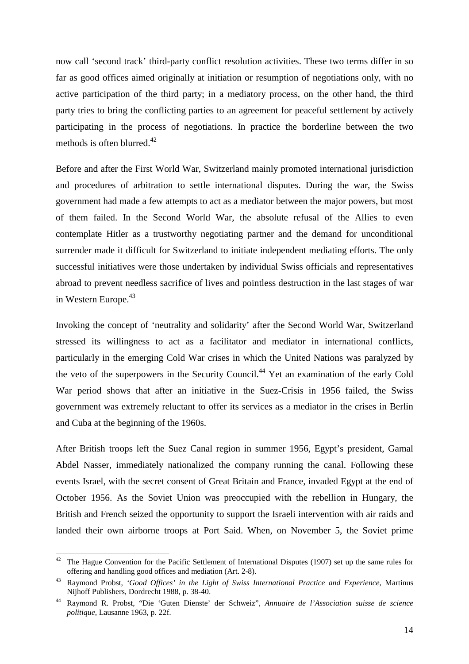now call 'second track' third-party conflict resolution activities. These two terms differ in so far as good offices aimed originally at initiation or resumption of negotiations only, with no active participation of the third party; in a mediatory process, on the other hand, the third party tries to bring the conflicting parties to an agreement for peaceful settlement by actively participating in the process of negotiations. In practice the borderline between the two methods is often blurred.<sup>42</sup>

Before and after the First World War, Switzerland mainly promoted international jurisdiction and procedures of arbitration to settle international disputes. During the war, the Swiss government had made a few attempts to act as a mediator between the major powers, but most of them failed. In the Second World War, the absolute refusal of the Allies to even contemplate Hitler as a trustworthy negotiating partner and the demand for unconditional surrender made it difficult for Switzerland to initiate independent mediating efforts. The only successful initiatives were those undertaken by individual Swiss officials and representatives abroad to prevent needless sacrifice of lives and pointless destruction in the last stages of war in Western Europe.<sup>43</sup>

Invoking the concept of 'neutrality and solidarity' after the Second World War, Switzerland stressed its willingness to act as a facilitator and mediator in international conflicts, particularly in the emerging Cold War crises in which the United Nations was paralyzed by the veto of the superpowers in the Security Council.<sup>44</sup> Yet an examination of the early Cold War period shows that after an initiative in the Suez-Crisis in 1956 failed, the Swiss government was extremely reluctant to offer its services as a mediator in the crises in Berlin and Cuba at the beginning of the 1960s.

After British troops left the Suez Canal region in summer 1956, Egypt's president, Gamal Abdel Nasser, immediately nationalized the company running the canal. Following these events Israel, with the secret consent of Great Britain and France, invaded Egypt at the end of October 1956. As the Soviet Union was preoccupied with the rebellion in Hungary, the British and French seized the opportunity to support the Israeli intervention with air raids and landed their own airborne troops at Port Said. When, on November 5, the Soviet prime

<sup>&</sup>lt;sup>42</sup> The Hague Convention for the Pacific Settlement of International Disputes (1907) set up the same rules for offering and handling good offices and mediation (Art. 2-8).

<sup>43</sup> Raymond Probst, *'Good Offices' in the Light of Swiss International Practice and Experience*, Martinus Nijhoff Publishers, Dordrecht 1988, p. 38-40.

<sup>44</sup> Raymond R. Probst, "Die 'Guten Dienste' der Schweiz", *Annuaire de l'Association suisse de science politique*, Lausanne 1963, p. 22f.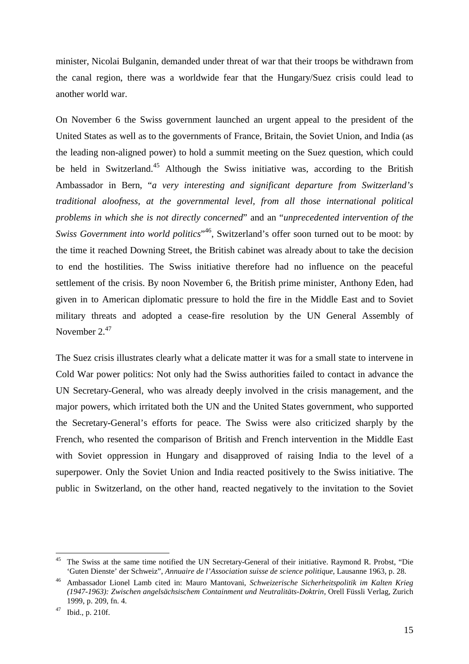minister, Nicolai Bulganin, demanded under threat of war that their troops be withdrawn from the canal region, there was a worldwide fear that the Hungary/Suez crisis could lead to another world war.

On November 6 the Swiss government launched an urgent appeal to the president of the United States as well as to the governments of France, Britain, the Soviet Union, and India (as the leading non-aligned power) to hold a summit meeting on the Suez question, which could be held in Switzerland.<sup>45</sup> Although the Swiss initiative was, according to the British Ambassador in Bern, "*a very interesting and significant departure from Switzerland's traditional aloofness, at the governmental level, from all those international political problems in which she is not directly concerned*" and an "*unprecedented intervention of the Swiss Government into world politics*" 46, Switzerland's offer soon turned out to be moot: by the time it reached Downing Street, the British cabinet was already about to take the decision to end the hostilities. The Swiss initiative therefore had no influence on the peaceful settlement of the crisis. By noon November 6, the British prime minister, Anthony Eden, had given in to American diplomatic pressure to hold the fire in the Middle East and to Soviet military threats and adopted a cease-fire resolution by the UN General Assembly of November 2.<sup>47</sup>

The Suez crisis illustrates clearly what a delicate matter it was for a small state to intervene in Cold War power politics: Not only had the Swiss authorities failed to contact in advance the UN Secretary-General, who was already deeply involved in the crisis management, and the major powers, which irritated both the UN and the United States government, who supported the Secretary-General's efforts for peace. The Swiss were also criticized sharply by the French, who resented the comparison of British and French intervention in the Middle East with Soviet oppression in Hungary and disapproved of raising India to the level of a superpower. Only the Soviet Union and India reacted positively to the Swiss initiative. The public in Switzerland, on the other hand, reacted negatively to the invitation to the Soviet

<sup>&</sup>lt;sup>45</sup> The Swiss at the same time notified the UN Secretary-General of their initiative. Raymond R. Probst, "Die 'Guten Dienste' der Schweiz", *Annuaire de l'Association suisse de science politique*, Lausanne 1963, p. 28.

<sup>46</sup> Ambassador Lionel Lamb cited in: Mauro Mantovani, *Schweizerische Sicherheitspolitik im Kalten Krieg (1947-1963): Zwischen angelsächsischem Containment und Neutralitäts-Doktrin*, Orell Füssli Verlag, Zurich 1999, p. 209, fn. 4.

<sup>47</sup> Ibid., p. 210f.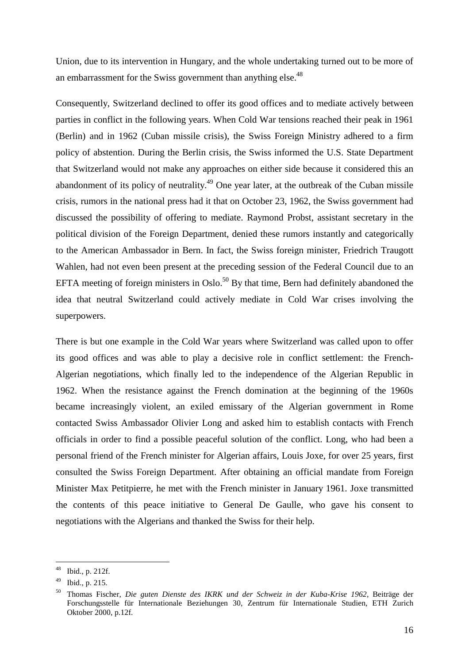Union, due to its intervention in Hungary, and the whole undertaking turned out to be more of an embarrassment for the Swiss government than anything else.<sup>48</sup>

Consequently, Switzerland declined to offer its good offices and to mediate actively between parties in conflict in the following years. When Cold War tensions reached their peak in 1961 (Berlin) and in 1962 (Cuban missile crisis), the Swiss Foreign Ministry adhered to a firm policy of abstention. During the Berlin crisis, the Swiss informed the U.S. State Department that Switzerland would not make any approaches on either side because it considered this an abandonment of its policy of neutrality.<sup>49</sup> One year later, at the outbreak of the Cuban missile crisis, rumors in the national press had it that on October 23, 1962, the Swiss government had discussed the possibility of offering to mediate. Raymond Probst, assistant secretary in the political division of the Foreign Department, denied these rumors instantly and categorically to the American Ambassador in Bern. In fact, the Swiss foreign minister, Friedrich Traugott Wahlen, had not even been present at the preceding session of the Federal Council due to an EFTA meeting of foreign ministers in Oslo.<sup>50</sup> By that time, Bern had definitely abandoned the idea that neutral Switzerland could actively mediate in Cold War crises involving the superpowers.

There is but one example in the Cold War years where Switzerland was called upon to offer its good offices and was able to play a decisive role in conflict settlement: the French-Algerian negotiations, which finally led to the independence of the Algerian Republic in 1962. When the resistance against the French domination at the beginning of the 1960s became increasingly violent, an exiled emissary of the Algerian government in Rome contacted Swiss Ambassador Olivier Long and asked him to establish contacts with French officials in order to find a possible peaceful solution of the conflict. Long, who had been a personal friend of the French minister for Algerian affairs, Louis Joxe, for over 25 years, first consulted the Swiss Foreign Department. After obtaining an official mandate from Foreign Minister Max Petitpierre, he met with the French minister in January 1961. Joxe transmitted the contents of this peace initiative to General De Gaulle, who gave his consent to negotiations with the Algerians and thanked the Swiss for their help.

Ibid., p. 212f.

Ibid., p. 215.

<sup>50</sup> Thomas Fischer, *Die guten Dienste des IKRK und der Schweiz in der Kuba-Krise 1962*, Beiträge der Forschungsstelle für Internationale Beziehungen 30, Zentrum für Internationale Studien, ETH Zurich Oktober 2000, p.12f.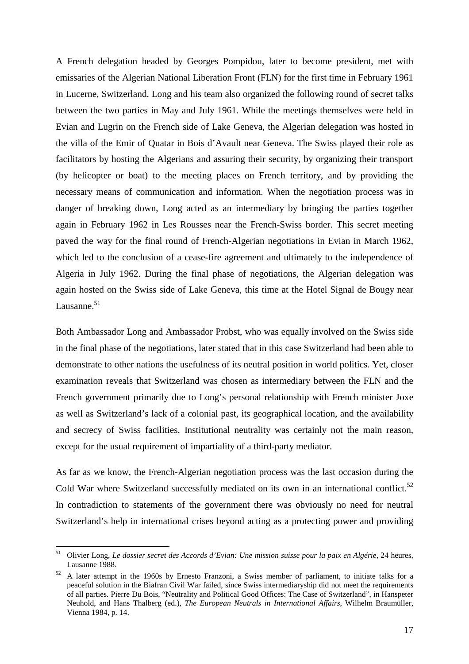A French delegation headed by Georges Pompidou, later to become president, met with emissaries of the Algerian National Liberation Front (FLN) for the first time in February 1961 in Lucerne, Switzerland. Long and his team also organized the following round of secret talks between the two parties in May and July 1961. While the meetings themselves were held in Evian and Lugrin on the French side of Lake Geneva, the Algerian delegation was hosted in the villa of the Emir of Quatar in Bois d'Avault near Geneva. The Swiss played their role as facilitators by hosting the Algerians and assuring their security, by organizing their transport (by helicopter or boat) to the meeting places on French territory, and by providing the necessary means of communication and information. When the negotiation process was in danger of breaking down, Long acted as an intermediary by bringing the parties together again in February 1962 in Les Rousses near the French-Swiss border. This secret meeting paved the way for the final round of French-Algerian negotiations in Evian in March 1962, which led to the conclusion of a cease-fire agreement and ultimately to the independence of Algeria in July 1962. During the final phase of negotiations, the Algerian delegation was again hosted on the Swiss side of Lake Geneva, this time at the Hotel Signal de Bougy near Lausanne. $51$ 

Both Ambassador Long and Ambassador Probst, who was equally involved on the Swiss side in the final phase of the negotiations, later stated that in this case Switzerland had been able to demonstrate to other nations the usefulness of its neutral position in world politics. Yet, closer examination reveals that Switzerland was chosen as intermediary between the FLN and the French government primarily due to Long's personal relationship with French minister Joxe as well as Switzerland's lack of a colonial past, its geographical location, and the availability and secrecy of Swiss facilities. Institutional neutrality was certainly not the main reason, except for the usual requirement of impartiality of a third-party mediator.

As far as we know, the French-Algerian negotiation process was the last occasion during the Cold War where Switzerland successfully mediated on its own in an international conflict.<sup>52</sup> In contradiction to statements of the government there was obviously no need for neutral Switzerland's help in international crises beyond acting as a protecting power and providing

 $51$ 51 Olivier Long, *Le dossier secret des Accords d'Evian: Une mission suisse pour la paix en Algérie*, 24 heures, Lausanne 1988.<br>52 A later attempt in the 1960s by Ernesto Franzoni, a Swiss member of parliament, to initiate talks for a

peaceful solution in the Biafran Civil War failed, since Swiss intermediaryship did not meet the requirements of all parties. Pierre Du Bois, "Neutrality and Political Good Offices: The Case of Switzerland", in Hanspeter Neuhold, and Hans Thalberg (ed.), *The European Neutrals in International Affairs*, Wilhelm Braumüller, Vienna 1984, p. 14.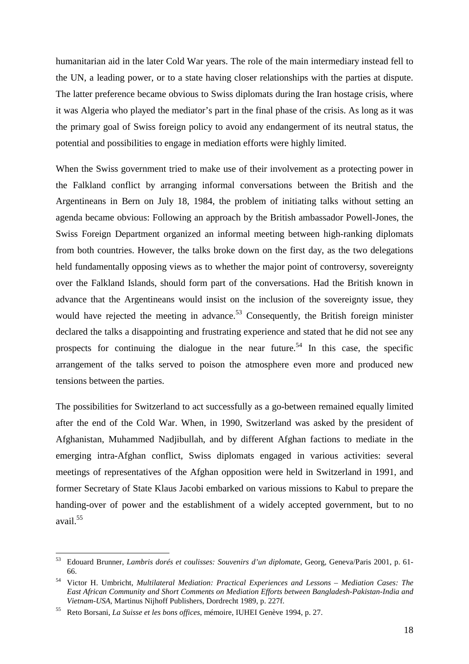humanitarian aid in the later Cold War years. The role of the main intermediary instead fell to the UN, a leading power, or to a state having closer relationships with the parties at dispute. The latter preference became obvious to Swiss diplomats during the Iran hostage crisis, where it was Algeria who played the mediator's part in the final phase of the crisis. As long as it was the primary goal of Swiss foreign policy to avoid any endangerment of its neutral status, the potential and possibilities to engage in mediation efforts were highly limited.

When the Swiss government tried to make use of their involvement as a protecting power in the Falkland conflict by arranging informal conversations between the British and the Argentineans in Bern on July 18, 1984, the problem of initiating talks without setting an agenda became obvious: Following an approach by the British ambassador Powell-Jones, the Swiss Foreign Department organized an informal meeting between high-ranking diplomats from both countries. However, the talks broke down on the first day, as the two delegations held fundamentally opposing views as to whether the major point of controversy, sovereignty over the Falkland Islands, should form part of the conversations. Had the British known in advance that the Argentineans would insist on the inclusion of the sovereignty issue, they would have rejected the meeting in advance.<sup>53</sup> Consequently, the British foreign minister declared the talks a disappointing and frustrating experience and stated that he did not see any prospects for continuing the dialogue in the near future.<sup>54</sup> In this case, the specific arrangement of the talks served to poison the atmosphere even more and produced new tensions between the parties.

The possibilities for Switzerland to act successfully as a go-between remained equally limited after the end of the Cold War. When, in 1990, Switzerland was asked by the president of Afghanistan, Muhammed Nadjibullah, and by different Afghan factions to mediate in the emerging intra-Afghan conflict, Swiss diplomats engaged in various activities: several meetings of representatives of the Afghan opposition were held in Switzerland in 1991, and former Secretary of State Klaus Jacobi embarked on various missions to Kabul to prepare the handing-over of power and the establishment of a widely accepted government, but to no avail.55

<sup>53</sup> Edouard Brunner, *Lambris dorés et coulisses: Souvenirs d'un diplomate*, Georg, Geneva/Paris 2001, p. 61- 66.

<sup>54</sup> Victor H. Umbricht, *Multilateral Mediation: Practical Experiences and Lessons – Mediation Cases: The East African Community and Short Comments on Mediation Efforts between Bangladesh-Pakistan-India and Vietnam-USA*, Martinus Nijhoff Publishers, Dordrecht 1989, p. 227f.

<sup>55</sup> Reto Borsani, *La Suisse et les bons offices*, mémoire, IUHEI Genève 1994, p. 27.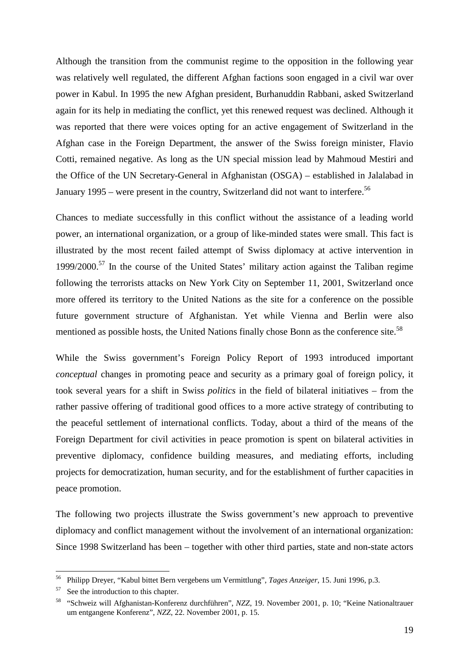Although the transition from the communist regime to the opposition in the following year was relatively well regulated, the different Afghan factions soon engaged in a civil war over power in Kabul. In 1995 the new Afghan president, Burhanuddin Rabbani, asked Switzerland again for its help in mediating the conflict, yet this renewed request was declined. Although it was reported that there were voices opting for an active engagement of Switzerland in the Afghan case in the Foreign Department, the answer of the Swiss foreign minister, Flavio Cotti, remained negative. As long as the UN special mission lead by Mahmoud Mestiri and the Office of the UN Secretary-General in Afghanistan (OSGA) – established in Jalalabad in January 1995 – were present in the country, Switzerland did not want to interfere.<sup>56</sup>

Chances to mediate successfully in this conflict without the assistance of a leading world power, an international organization, or a group of like-minded states were small. This fact is illustrated by the most recent failed attempt of Swiss diplomacy at active intervention in 1999/2000.<sup>57</sup> In the course of the United States' military action against the Taliban regime following the terrorists attacks on New York City on September 11, 2001, Switzerland once more offered its territory to the United Nations as the site for a conference on the possible future government structure of Afghanistan. Yet while Vienna and Berlin were also mentioned as possible hosts, the United Nations finally chose Bonn as the conference site.<sup>58</sup>

While the Swiss government's Foreign Policy Report of 1993 introduced important *conceptual* changes in promoting peace and security as a primary goal of foreign policy, it took several years for a shift in Swiss *politics* in the field of bilateral initiatives – from the rather passive offering of traditional good offices to a more active strategy of contributing to the peaceful settlement of international conflicts. Today, about a third of the means of the Foreign Department for civil activities in peace promotion is spent on bilateral activities in preventive diplomacy, confidence building measures, and mediating efforts, including projects for democratization, human security, and for the establishment of further capacities in peace promotion.

The following two projects illustrate the Swiss government's new approach to preventive diplomacy and conflict management without the involvement of an international organization: Since 1998 Switzerland has been – together with other third parties, state and non-state actors

<sup>56</sup> Philipp Dreyer, "Kabul bittet Bern vergebens um Vermittlung", *Tages Anzeiger*, 15. Juni 1996, p.3. 57 See the introduction to this chapter.

<sup>58 &</sup>quot;Schweiz will Afghanistan-Konferenz durchführen", *NZZ*, 19. November 2001, p. 10; "Keine Nationaltrauer um entgangene Konferenz", *NZZ*, 22. November 2001, p. 15.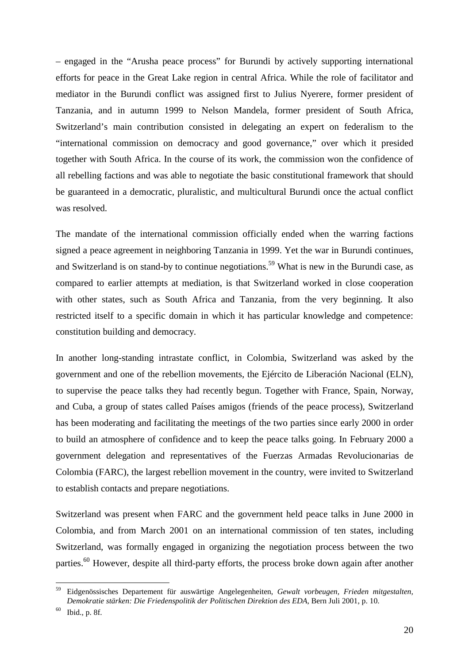– engaged in the "Arusha peace process" for Burundi by actively supporting international efforts for peace in the Great Lake region in central Africa. While the role of facilitator and mediator in the Burundi conflict was assigned first to Julius Nyerere, former president of Tanzania, and in autumn 1999 to Nelson Mandela, former president of South Africa, Switzerland's main contribution consisted in delegating an expert on federalism to the "international commission on democracy and good governance," over which it presided together with South Africa. In the course of its work, the commission won the confidence of all rebelling factions and was able to negotiate the basic constitutional framework that should be guaranteed in a democratic, pluralistic, and multicultural Burundi once the actual conflict was resolved.

The mandate of the international commission officially ended when the warring factions signed a peace agreement in neighboring Tanzania in 1999. Yet the war in Burundi continues, and Switzerland is on stand-by to continue negotiations.<sup>59</sup> What is new in the Burundi case, as compared to earlier attempts at mediation, is that Switzerland worked in close cooperation with other states, such as South Africa and Tanzania, from the very beginning. It also restricted itself to a specific domain in which it has particular knowledge and competence: constitution building and democracy.

In another long-standing intrastate conflict, in Colombia, Switzerland was asked by the government and one of the rebellion movements, the Ejército de Liberación Nacional (ELN), to supervise the peace talks they had recently begun. Together with France, Spain, Norway, and Cuba, a group of states called Países amigos (friends of the peace process), Switzerland has been moderating and facilitating the meetings of the two parties since early 2000 in order to build an atmosphere of confidence and to keep the peace talks going. In February 2000 a government delegation and representatives of the Fuerzas Armadas Revolucionarias de Colombia (FARC), the largest rebellion movement in the country, were invited to Switzerland to establish contacts and prepare negotiations.

Switzerland was present when FARC and the government held peace talks in June 2000 in Colombia, and from March 2001 on an international commission of ten states, including Switzerland, was formally engaged in organizing the negotiation process between the two parties.<sup>60</sup> However, despite all third-party efforts, the process broke down again after another

<sup>59</sup> Eidgenössisches Departement für auswärtige Angelegenheiten, *Gewalt vorbeugen, Frieden mitgestalten, Demokratie stärken: Die Friedenspolitik der Politischen Direktion des EDA*, Bern Juli 2001, p. 10.

Ibid., p. 8f.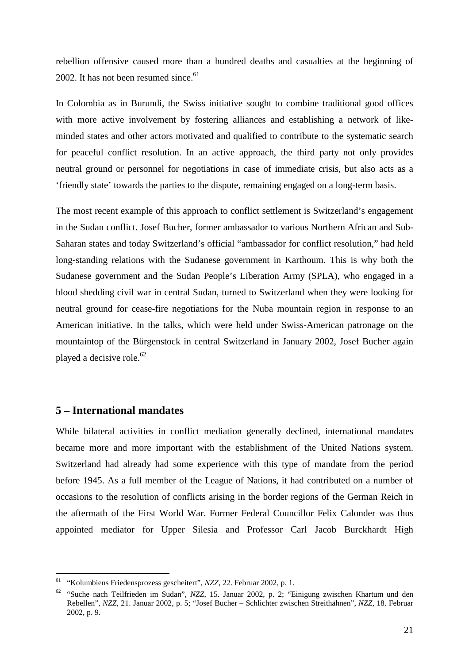rebellion offensive caused more than a hundred deaths and casualties at the beginning of 2002. It has not been resumed since. $61$ 

In Colombia as in Burundi, the Swiss initiative sought to combine traditional good offices with more active involvement by fostering alliances and establishing a network of likeminded states and other actors motivated and qualified to contribute to the systematic search for peaceful conflict resolution. In an active approach, the third party not only provides neutral ground or personnel for negotiations in case of immediate crisis, but also acts as a 'friendly state' towards the parties to the dispute, remaining engaged on a long-term basis.

The most recent example of this approach to conflict settlement is Switzerland's engagement in the Sudan conflict. Josef Bucher, former ambassador to various Northern African and Sub-Saharan states and today Switzerland's official "ambassador for conflict resolution," had held long-standing relations with the Sudanese government in Karthoum. This is why both the Sudanese government and the Sudan People's Liberation Army (SPLA), who engaged in a blood shedding civil war in central Sudan, turned to Switzerland when they were looking for neutral ground for cease-fire negotiations for the Nuba mountain region in response to an American initiative. In the talks, which were held under Swiss-American patronage on the mountaintop of the Bürgenstock in central Switzerland in January 2002, Josef Bucher again played a decisive role. $62$ 

#### **5 – International mandates**

While bilateral activities in conflict mediation generally declined, international mandates became more and more important with the establishment of the United Nations system. Switzerland had already had some experience with this type of mandate from the period before 1945. As a full member of the League of Nations, it had contributed on a number of occasions to the resolution of conflicts arising in the border regions of the German Reich in the aftermath of the First World War. Former Federal Councillor Felix Calonder was thus appointed mediator for Upper Silesia and Professor Carl Jacob Burckhardt High

 $<sup>61</sup>$  "Kolumbiens Friedensprozess gescheitert", NZZ, 22. Februar 2002, p. 1.</sup>

<sup>&</sup>lt;sup>62</sup> "Suche nach Teilfrieden im Sudan", *NZZ*, 15. Januar 2002, p. 2; "Einigung zwischen Khartum und den Rebellen", *NZZ*, 21. Januar 2002, p. 5; "Josef Bucher – Schlichter zwischen Streithähnen", *NZZ*, 18. Februar 2002, p. 9.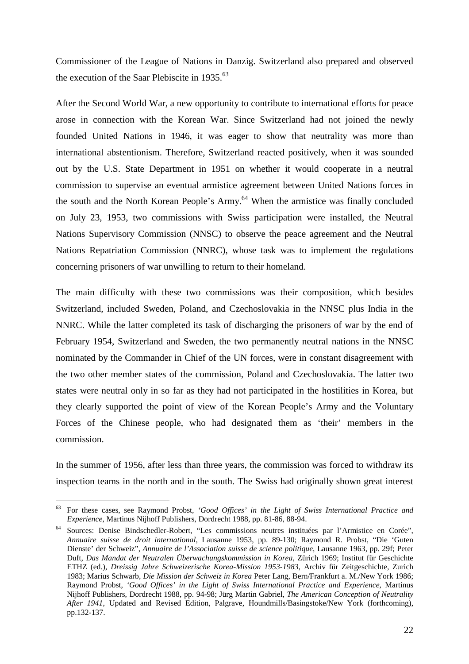Commissioner of the League of Nations in Danzig. Switzerland also prepared and observed the execution of the Saar Plebiscite in  $1935.^{63}$ 

After the Second World War, a new opportunity to contribute to international efforts for peace arose in connection with the Korean War. Since Switzerland had not joined the newly founded United Nations in 1946, it was eager to show that neutrality was more than international abstentionism. Therefore, Switzerland reacted positively, when it was sounded out by the U.S. State Department in 1951 on whether it would cooperate in a neutral commission to supervise an eventual armistice agreement between United Nations forces in the south and the North Korean People's Army.<sup>64</sup> When the armistice was finally concluded on July 23, 1953, two commissions with Swiss participation were installed, the Neutral Nations Supervisory Commission (NNSC) to observe the peace agreement and the Neutral Nations Repatriation Commission (NNRC), whose task was to implement the regulations concerning prisoners of war unwilling to return to their homeland.

The main difficulty with these two commissions was their composition, which besides Switzerland, included Sweden, Poland, and Czechoslovakia in the NNSC plus India in the NNRC. While the latter completed its task of discharging the prisoners of war by the end of February 1954, Switzerland and Sweden, the two permanently neutral nations in the NNSC nominated by the Commander in Chief of the UN forces, were in constant disagreement with the two other member states of the commission, Poland and Czechoslovakia. The latter two states were neutral only in so far as they had not participated in the hostilities in Korea, but they clearly supported the point of view of the Korean People's Army and the Voluntary Forces of the Chinese people, who had designated them as 'their' members in the commission.

In the summer of 1956, after less than three years, the commission was forced to withdraw its inspection teams in the north and in the south. The Swiss had originally shown great interest

<sup>63</sup> For these cases, see Raymond Probst, *'Good Offices' in the Light of Swiss International Practice and Experience*, Martinus Nijhoff Publishers, Dordrecht 1988, pp. 81-86, 88-94.<br><sup>64</sup> Sources: Denise Bindschedler-Robert, "Les commissions neutres instituées par l'Armistice en Corée",

*Annuaire suisse de droit international*, Lausanne 1953, pp. 89-130; Raymond R. Probst, "Die 'Guten Dienste' der Schweiz", *Annuaire de l'Association suisse de science politique*, Lausanne 1963, pp. 29f; Peter Duft, *Das Mandat der Neutralen Überwachungskommission in Korea*, Zürich 1969; Institut für Geschichte ETHZ (ed.), *Dreissig Jahre Schweizerische Korea-Mission 1953-1983*, Archiv für Zeitgeschichte, Zurich 1983; Marius Schwarb, *Die Mission der Schweiz in Korea* Peter Lang, Bern/Frankfurt a. M./New York 1986; Raymond Probst, *'Good Offices' in the Light of Swiss International Practice and Experience*, Martinus Nijhoff Publishers, Dordrecht 1988, pp. 94-98; Jürg Martin Gabriel, *The American Conception of Neutrality After 1941*, Updated and Revised Edition, Palgrave, Houndmills/Basingstoke/New York (forthcoming), pp.132-137.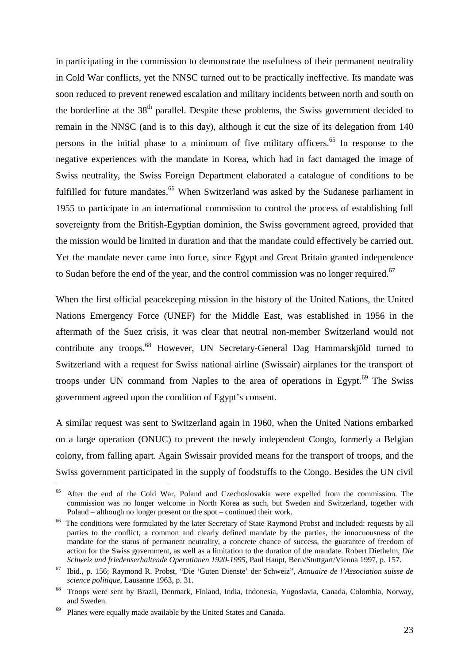in participating in the commission to demonstrate the usefulness of their permanent neutrality in Cold War conflicts, yet the NNSC turned out to be practically ineffective. Its mandate was soon reduced to prevent renewed escalation and military incidents between north and south on the borderline at the  $38<sup>th</sup>$  parallel. Despite these problems, the Swiss government decided to remain in the NNSC (and is to this day), although it cut the size of its delegation from 140 persons in the initial phase to a minimum of five military officers.<sup>65</sup> In response to the negative experiences with the mandate in Korea, which had in fact damaged the image of Swiss neutrality, the Swiss Foreign Department elaborated a catalogue of conditions to be fulfilled for future mandates.<sup>66</sup> When Switzerland was asked by the Sudanese parliament in 1955 to participate in an international commission to control the process of establishing full sovereignty from the British-Egyptian dominion, the Swiss government agreed, provided that the mission would be limited in duration and that the mandate could effectively be carried out. Yet the mandate never came into force, since Egypt and Great Britain granted independence to Sudan before the end of the year, and the control commission was no longer required.<sup>67</sup>

When the first official peacekeeping mission in the history of the United Nations, the United Nations Emergency Force (UNEF) for the Middle East, was established in 1956 in the aftermath of the Suez crisis, it was clear that neutral non-member Switzerland would not contribute any troops.<sup>68</sup> However, UN Secretary-General Dag Hammarskjöld turned to Switzerland with a request for Swiss national airline (Swissair) airplanes for the transport of troops under UN command from Naples to the area of operations in Egypt.<sup>69</sup> The Swiss government agreed upon the condition of Egypt's consent.

A similar request was sent to Switzerland again in 1960, when the United Nations embarked on a large operation (ONUC) to prevent the newly independent Congo, formerly a Belgian colony, from falling apart. Again Swissair provided means for the transport of troops, and the Swiss government participated in the supply of foodstuffs to the Congo. Besides the UN civil

<sup>65</sup> After the end of the Cold War, Poland and Czechoslovakia were expelled from the commission. The commission was no longer welcome in North Korea as such, but Sweden and Switzerland, together with Poland – although no longer present on the spot – continued their work.<br><sup>66</sup> The conditions were formulated by the later Secretary of State Raymond Probst and included: requests by all

parties to the conflict, a common and clearly defined mandate by the parties, the innocuousness of the mandate for the status of permanent neutrality, a concrete chance of success, the guarantee of freedom of action for the Swiss government, as well as a limitation to the duration of the mandate. Robert Diethelm, *Die Schweiz und friedenserhaltende Operationen 1920-1995*, Paul Haupt, Bern/Stuttgart/Vienna 1997, p. 157.

<sup>67</sup> Ibid., p. 156; Raymond R. Probst, "Die 'Guten Dienste' der Schweiz", *Annuaire de l'Association suisse de science politique*, Lausanne 1963, p. 31.

<sup>68</sup> Troops were sent by Brazil, Denmark, Finland, India, Indonesia, Yugoslavia, Canada, Colombia, Norway, and Sweden.

Planes were equally made available by the United States and Canada.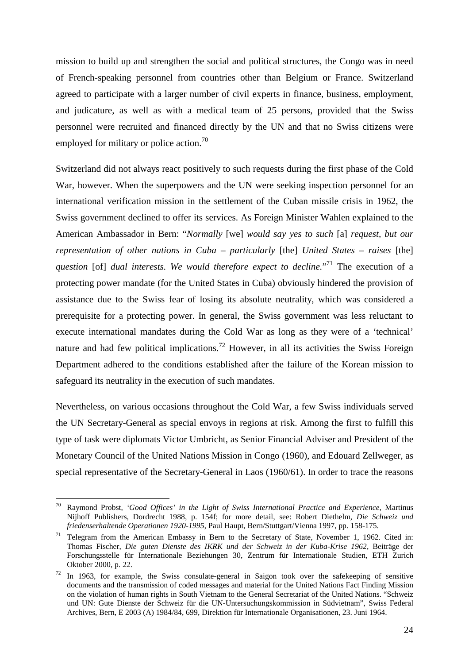mission to build up and strengthen the social and political structures, the Congo was in need of French-speaking personnel from countries other than Belgium or France. Switzerland agreed to participate with a larger number of civil experts in finance, business, employment, and judicature, as well as with a medical team of 25 persons, provided that the Swiss personnel were recruited and financed directly by the UN and that no Swiss citizens were employed for military or police action.<sup>70</sup>

Switzerland did not always react positively to such requests during the first phase of the Cold War, however. When the superpowers and the UN were seeking inspection personnel for an international verification mission in the settlement of the Cuban missile crisis in 1962, the Swiss government declined to offer its services. As Foreign Minister Wahlen explained to the American Ambassador in Bern: "*Normally* [we] *would say yes to such* [a] *request, but our representation of other nations in Cuba – particularly* [the] *United States – raises* [the] question [of] *dual interests. We would therefore expect to decline*."<sup>71</sup> The execution of a protecting power mandate (for the United States in Cuba) obviously hindered the provision of assistance due to the Swiss fear of losing its absolute neutrality, which was considered a prerequisite for a protecting power. In general, the Swiss government was less reluctant to execute international mandates during the Cold War as long as they were of a 'technical' nature and had few political implications.<sup>72</sup> However, in all its activities the Swiss Foreign Department adhered to the conditions established after the failure of the Korean mission to safeguard its neutrality in the execution of such mandates.

Nevertheless, on various occasions throughout the Cold War, a few Swiss individuals served the UN Secretary-General as special envoys in regions at risk. Among the first to fulfill this type of task were diplomats Victor Umbricht, as Senior Financial Adviser and President of the Monetary Council of the United Nations Mission in Congo (1960), and Edouard Zellweger, as special representative of the Secretary-General in Laos (1960/61). In order to trace the reasons

 $\overline{a}$ 70 Raymond Probst, *'Good Offices' in the Light of Swiss International Practice and Experience*, Martinus Nijhoff Publishers, Dordrecht 1988, p. 154f; for more detail, see: Robert Diethelm, *Die Schweiz und friedenserhaltende Operationen 1920-1995*, Paul Haupt, Bern/Stuttgart/Vienna 1997, pp. 158-175.

<sup>&</sup>lt;sup>71</sup> Telegram from the American Embassy in Bern to the Secretary of State, November 1, 1962. Cited in: Thomas Fischer, *Die guten Dienste des IKRK und der Schweiz in der Kuba-Krise 1962*, Beiträge der Forschungsstelle für Internationale Beziehungen 30, Zentrum für Internationale Studien, ETH Zurich Oktober 2000, p. 22.

 $72$  In 1963, for example, the Swiss consulate-general in Saigon took over the safekeeping of sensitive documents and the transmission of coded messages and material for the United Nations Fact Finding Mission on the violation of human rights in South Vietnam to the General Secretariat of the United Nations. "Schweiz und UN: Gute Dienste der Schweiz für die UN-Untersuchungskommission in Südvietnam", Swiss Federal Archives, Bern, E 2003 (A) 1984/84, 699, Direktion für Internationale Organisationen, 23. Juni 1964.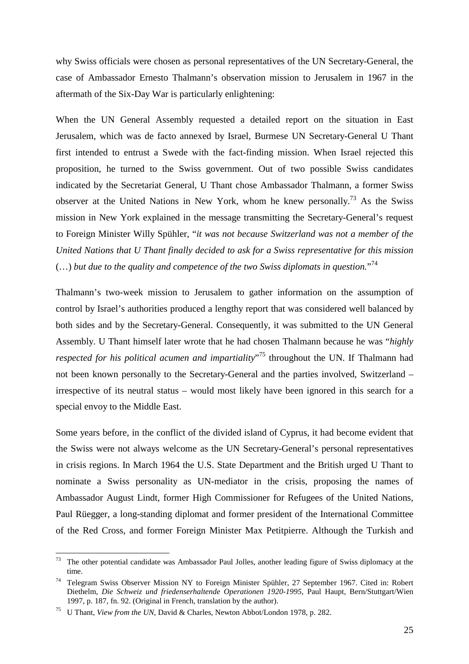why Swiss officials were chosen as personal representatives of the UN Secretary-General, the case of Ambassador Ernesto Thalmann's observation mission to Jerusalem in 1967 in the aftermath of the Six-Day War is particularly enlightening:

When the UN General Assembly requested a detailed report on the situation in East Jerusalem, which was de facto annexed by Israel, Burmese UN Secretary-General U Thant first intended to entrust a Swede with the fact-finding mission. When Israel rejected this proposition, he turned to the Swiss government. Out of two possible Swiss candidates indicated by the Secretariat General, U Thant chose Ambassador Thalmann, a former Swiss observer at the United Nations in New York, whom he knew personally.<sup>73</sup> As the Swiss mission in New York explained in the message transmitting the Secretary-General's request to Foreign Minister Willy Spühler, "*it was not because Switzerland was not a member of the United Nations that U Thant finally decided to ask for a Swiss representative for this mission* (…) *but due to the quality and competence of the two Swiss diplomats in question.*" 74

Thalmann's two-week mission to Jerusalem to gather information on the assumption of control by Israel's authorities produced a lengthy report that was considered well balanced by both sides and by the Secretary-General. Consequently, it was submitted to the UN General Assembly. U Thant himself later wrote that he had chosen Thalmann because he was "*highly*  respected for his political acumen and impartiality<sup>", 75</sup> throughout the UN. If Thalmann had not been known personally to the Secretary-General and the parties involved, Switzerland – irrespective of its neutral status – would most likely have been ignored in this search for a special envoy to the Middle East.

Some years before, in the conflict of the divided island of Cyprus, it had become evident that the Swiss were not always welcome as the UN Secretary-General's personal representatives in crisis regions. In March 1964 the U.S. State Department and the British urged U Thant to nominate a Swiss personality as UN-mediator in the crisis, proposing the names of Ambassador August Lindt, former High Commissioner for Refugees of the United Nations, Paul Rüegger, a long-standing diplomat and former president of the International Committee of the Red Cross, and former Foreign Minister Max Petitpierre. Although the Turkish and

<sup>&</sup>lt;sup>73</sup> The other potential candidate was Ambassador Paul Jolles, another leading figure of Swiss diplomacy at the time.

<sup>74</sup> Telegram Swiss Observer Mission NY to Foreign Minister Spühler, 27 September 1967. Cited in: Robert Diethelm, *Die Schweiz und friedenserhaltende Operationen 1920-1995*, Paul Haupt, Bern/Stuttgart/Wien 1997, p. 187, fn. 92. (Original in French, translation by the author).

<sup>75</sup> U Thant, *View from the UN*, David & Charles, Newton Abbot/London 1978, p. 282.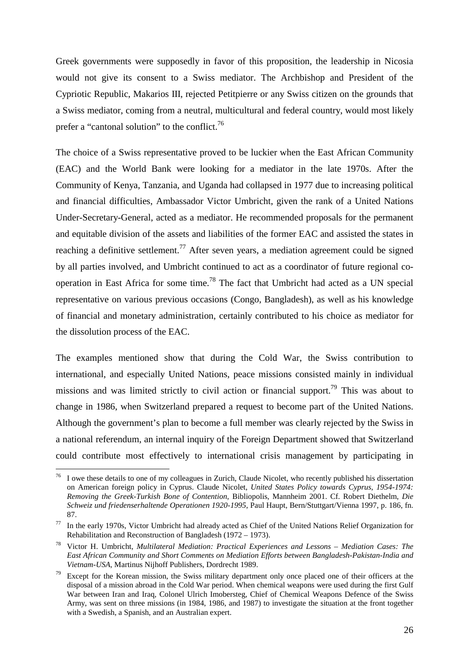Greek governments were supposedly in favor of this proposition, the leadership in Nicosia would not give its consent to a Swiss mediator. The Archbishop and President of the Cypriotic Republic, Makarios III, rejected Petitpierre or any Swiss citizen on the grounds that a Swiss mediator, coming from a neutral, multicultural and federal country, would most likely prefer a "cantonal solution" to the conflict.<sup>76</sup>

The choice of a Swiss representative proved to be luckier when the East African Community (EAC) and the World Bank were looking for a mediator in the late 1970s. After the Community of Kenya, Tanzania, and Uganda had collapsed in 1977 due to increasing political and financial difficulties, Ambassador Victor Umbricht, given the rank of a United Nations Under-Secretary-General, acted as a mediator. He recommended proposals for the permanent and equitable division of the assets and liabilities of the former EAC and assisted the states in reaching a definitive settlement.<sup>77</sup> After seven years, a mediation agreement could be signed by all parties involved, and Umbricht continued to act as a coordinator of future regional cooperation in East Africa for some time.<sup>78</sup> The fact that Umbricht had acted as a UN special representative on various previous occasions (Congo, Bangladesh), as well as his knowledge of financial and monetary administration, certainly contributed to his choice as mediator for the dissolution process of the EAC.

The examples mentioned show that during the Cold War, the Swiss contribution to international, and especially United Nations, peace missions consisted mainly in individual missions and was limited strictly to civil action or financial support.<sup>79</sup> This was about to change in 1986, when Switzerland prepared a request to become part of the United Nations. Although the government's plan to become a full member was clearly rejected by the Swiss in a national referendum, an internal inquiry of the Foreign Department showed that Switzerland could contribute most effectively to international crisis management by participating in

 $76$  I owe these details to one of my colleagues in Zurich, Claude Nicolet, who recently published his dissertation on American foreign policy in Cyprus. Claude Nicolet, *United States Policy towards Cyprus, 1954-1974: Removing the Greek-Turkish Bone of Contention*, Bibliopolis, Mannheim 2001. Cf. Robert Diethelm, *Die Schweiz und friedenserhaltende Operationen 1920-1995*, Paul Haupt, Bern/Stuttgart/Vienna 1997, p. 186, fn. 87.

<sup>77</sup> In the early 1970s, Victor Umbricht had already acted as Chief of the United Nations Relief Organization for Rehabilitation and Reconstruction of Bangladesh (1972 – 1973).

<sup>78</sup> Victor H. Umbricht, *Multilateral Mediation: Practical Experiences and Lessons – Mediation Cases: The East African Community and Short Comments on Mediation Efforts between Bangladesh-Pakistan-India and Vietnam-USA*, Martinus Nijhoff Publishers, Dordrecht 1989.<br>Except for the Korean mission, the Swiss military department only once placed one of their officers at the

disposal of a mission abroad in the Cold War period. When chemical weapons were used during the first Gulf War between Iran and Iraq, Colonel Ulrich Imobersteg, Chief of Chemical Weapons Defence of the Swiss Army, was sent on three missions (in 1984, 1986, and 1987) to investigate the situation at the front together with a Swedish, a Spanish, and an Australian expert.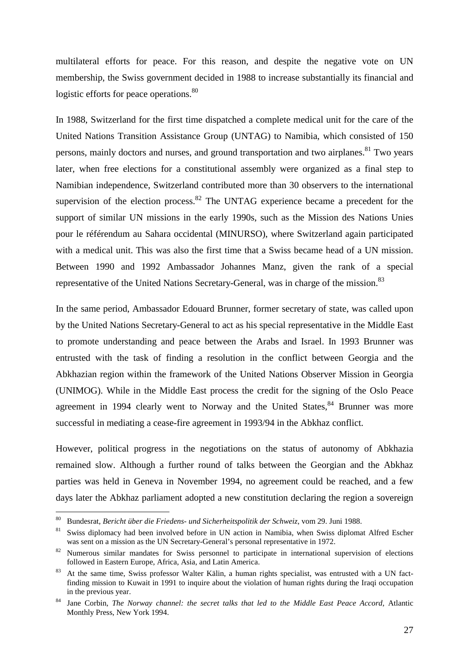multilateral efforts for peace. For this reason, and despite the negative vote on UN membership, the Swiss government decided in 1988 to increase substantially its financial and logistic efforts for peace operations.<sup>80</sup>

In 1988, Switzerland for the first time dispatched a complete medical unit for the care of the United Nations Transition Assistance Group (UNTAG) to Namibia, which consisted of 150 persons, mainly doctors and nurses, and ground transportation and two airplanes.<sup>81</sup> Two years later, when free elections for a constitutional assembly were organized as a final step to Namibian independence, Switzerland contributed more than 30 observers to the international supervision of the election process. $82$  The UNTAG experience became a precedent for the support of similar UN missions in the early 1990s, such as the Mission des Nations Unies pour le référendum au Sahara occidental (MINURSO), where Switzerland again participated with a medical unit. This was also the first time that a Swiss became head of a UN mission. Between 1990 and 1992 Ambassador Johannes Manz, given the rank of a special representative of the United Nations Secretary-General, was in charge of the mission.<sup>83</sup>

In the same period, Ambassador Edouard Brunner, former secretary of state, was called upon by the United Nations Secretary-General to act as his special representative in the Middle East to promote understanding and peace between the Arabs and Israel. In 1993 Brunner was entrusted with the task of finding a resolution in the conflict between Georgia and the Abkhazian region within the framework of the United Nations Observer Mission in Georgia (UNIMOG). While in the Middle East process the credit for the signing of the Oslo Peace agreement in 1994 clearly went to Norway and the United States, <sup>84</sup> Brunner was more successful in mediating a cease-fire agreement in 1993/94 in the Abkhaz conflict.

However, political progress in the negotiations on the status of autonomy of Abkhazia remained slow. Although a further round of talks between the Georgian and the Abkhaz parties was held in Geneva in November 1994, no agreement could be reached, and a few days later the Abkhaz parliament adopted a new constitution declaring the region a sovereign

<sup>&</sup>lt;sup>80</sup> Bundesrat, *Bericht über die Friedens- und Sicherheitspolitik der Schweiz*, vom 29. Juni 1988.<br><sup>81</sup> Swiss diplomacy had been involved before in UN action in Namibia, when Swiss diplomat Alfred Escher

was sent on a mission as the UN Secretary-General's personal representative in 1972.

<sup>&</sup>lt;sup>82</sup> Numerous similar mandates for Swiss personnel to participate in international supervision of elections followed in Eastern Europe, Africa, Asia, and Latin America.<br>At the same time, Swiss professor Walter Kälin, a human rights specialist, was entrusted with a UN fact-

finding mission to Kuwait in 1991 to inquire about the violation of human rights during the Iraqi occupation in the previous year.

<sup>84</sup> Jane Corbin, *The Norway channel: the secret talks that led to the Middle East Peace Accord*, Atlantic Monthly Press, New York 1994.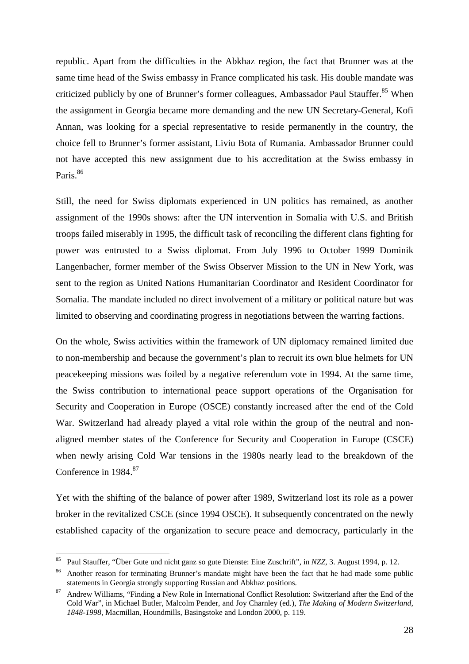republic. Apart from the difficulties in the Abkhaz region, the fact that Brunner was at the same time head of the Swiss embassy in France complicated his task. His double mandate was criticized publicly by one of Brunner's former colleagues, Ambassador Paul Stauffer.<sup>85</sup> When the assignment in Georgia became more demanding and the new UN Secretary-General, Kofi Annan, was looking for a special representative to reside permanently in the country, the choice fell to Brunner's former assistant, Liviu Bota of Rumania. Ambassador Brunner could not have accepted this new assignment due to his accreditation at the Swiss embassy in Paris<sup>86</sup>

Still, the need for Swiss diplomats experienced in UN politics has remained, as another assignment of the 1990s shows: after the UN intervention in Somalia with U.S. and British troops failed miserably in 1995, the difficult task of reconciling the different clans fighting for power was entrusted to a Swiss diplomat. From July 1996 to October 1999 Dominik Langenbacher, former member of the Swiss Observer Mission to the UN in New York, was sent to the region as United Nations Humanitarian Coordinator and Resident Coordinator for Somalia. The mandate included no direct involvement of a military or political nature but was limited to observing and coordinating progress in negotiations between the warring factions.

On the whole, Swiss activities within the framework of UN diplomacy remained limited due to non-membership and because the government's plan to recruit its own blue helmets for UN peacekeeping missions was foiled by a negative referendum vote in 1994. At the same time, the Swiss contribution to international peace support operations of the Organisation for Security and Cooperation in Europe (OSCE) constantly increased after the end of the Cold War. Switzerland had already played a vital role within the group of the neutral and nonaligned member states of the Conference for Security and Cooperation in Europe (CSCE) when newly arising Cold War tensions in the 1980s nearly lead to the breakdown of the Conference in 1984.87

Yet with the shifting of the balance of power after 1989, Switzerland lost its role as a power broker in the revitalized CSCE (since 1994 OSCE). It subsequently concentrated on the newly established capacity of the organization to secure peace and democracy, particularly in the

<sup>&</sup>lt;sup>85</sup> Paul Stauffer, "Über Gute und nicht ganz so gute Dienste: Eine Zuschrift", in *NZZ*, 3. August 1994, p. 12.<br><sup>86</sup> Another reason for terminating Brunner's mandate might have been the fact that he had made some public

statements in Georgia strongly supporting Russian and Abkhaz positions.

<sup>87</sup> Andrew Williams, "Finding a New Role in International Conflict Resolution: Switzerland after the End of the Cold War", in Michael Butler, Malcolm Pender, and Joy Charnley (ed.), *The Making of Modern Switzerland, 1848-1998*, Macmillan, Houndmills, Basingstoke and London 2000, p. 119.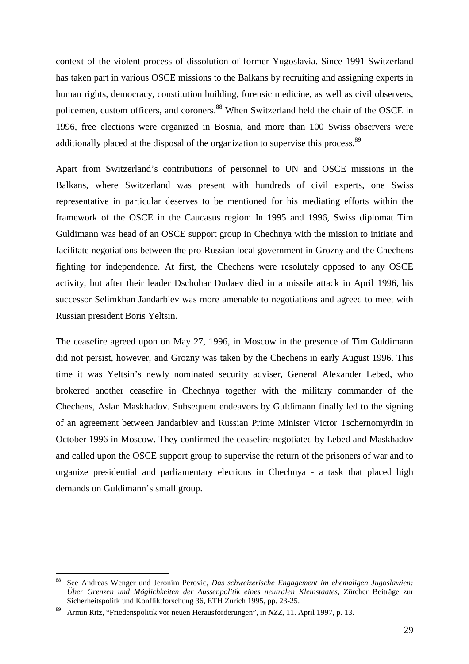context of the violent process of dissolution of former Yugoslavia. Since 1991 Switzerland has taken part in various OSCE missions to the Balkans by recruiting and assigning experts in human rights, democracy, constitution building, forensic medicine, as well as civil observers, policemen, custom officers, and coroners.<sup>88</sup> When Switzerland held the chair of the OSCE in 1996, free elections were organized in Bosnia, and more than 100 Swiss observers were additionally placed at the disposal of the organization to supervise this process.<sup>89</sup>

Apart from Switzerland's contributions of personnel to UN and OSCE missions in the Balkans, where Switzerland was present with hundreds of civil experts, one Swiss representative in particular deserves to be mentioned for his mediating efforts within the framework of the OSCE in the Caucasus region: In 1995 and 1996, Swiss diplomat Tim Guldimann was head of an OSCE support group in Chechnya with the mission to initiate and facilitate negotiations between the pro-Russian local government in Grozny and the Chechens fighting for independence. At first, the Chechens were resolutely opposed to any OSCE activity, but after their leader Dschohar Dudaev died in a missile attack in April 1996, his successor Selimkhan Jandarbiev was more amenable to negotiations and agreed to meet with Russian president Boris Yeltsin.

The ceasefire agreed upon on May 27, 1996, in Moscow in the presence of Tim Guldimann did not persist, however, and Grozny was taken by the Chechens in early August 1996. This time it was Yeltsin's newly nominated security adviser, General Alexander Lebed, who brokered another ceasefire in Chechnya together with the military commander of the Chechens, Aslan Maskhadov. Subsequent endeavors by Guldimann finally led to the signing of an agreement between Jandarbiev and Russian Prime Minister Victor Tschernomyrdin in October 1996 in Moscow. They confirmed the ceasefire negotiated by Lebed and Maskhadov and called upon the OSCE support group to supervise the return of the prisoners of war and to organize presidential and parliamentary elections in Chechnya - a task that placed high demands on Guldimann's small group.

 $\overline{a}$ 88 See Andreas Wenger und Jeronim Perovic, *Das schweizerische Engagement im ehemaligen Jugoslawien: Über Grenzen und Möglichkeiten der Aussenpolitik eines neutralen Kleinstaates*, Zürcher Beiträge zur Sicherheitspolitk und Konfliktforschung 36, ETH Zurich 1995, pp. 23-25.

<sup>89</sup> Armin Ritz, "Friedenspolitik vor neuen Herausforderungen", in *NZZ*, 11. April 1997, p. 13.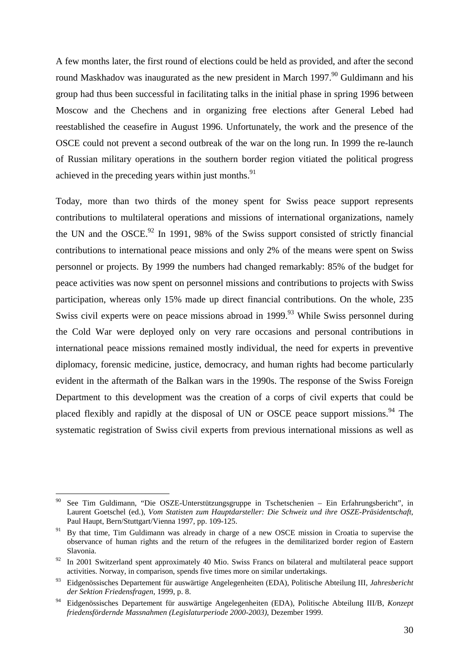A few months later, the first round of elections could be held as provided, and after the second round Maskhadov was inaugurated as the new president in March 1997.<sup>90</sup> Guldimann and his group had thus been successful in facilitating talks in the initial phase in spring 1996 between Moscow and the Chechens and in organizing free elections after General Lebed had reestablished the ceasefire in August 1996. Unfortunately, the work and the presence of the OSCE could not prevent a second outbreak of the war on the long run. In 1999 the re-launch of Russian military operations in the southern border region vitiated the political progress achieved in the preceding years within just months.<sup>91</sup>

Today, more than two thirds of the money spent for Swiss peace support represents contributions to multilateral operations and missions of international organizations, namely the UN and the OSCE.<sup>92</sup> In 1991, 98% of the Swiss support consisted of strictly financial contributions to international peace missions and only 2% of the means were spent on Swiss personnel or projects. By 1999 the numbers had changed remarkably: 85% of the budget for peace activities was now spent on personnel missions and contributions to projects with Swiss participation, whereas only 15% made up direct financial contributions. On the whole, 235 Swiss civil experts were on peace missions abroad in 1999.<sup>93</sup> While Swiss personnel during the Cold War were deployed only on very rare occasions and personal contributions in international peace missions remained mostly individual, the need for experts in preventive diplomacy, forensic medicine, justice, democracy, and human rights had become particularly evident in the aftermath of the Balkan wars in the 1990s. The response of the Swiss Foreign Department to this development was the creation of a corps of civil experts that could be placed flexibly and rapidly at the disposal of UN or OSCE peace support missions.<sup>94</sup> The systematic registration of Swiss civil experts from previous international missions as well as

<sup>90</sup> See Tim Guldimann, "Die OSZE-Unterstützungsgruppe in Tschetschenien – Ein Erfahrungsbericht", in Laurent Goetschel (ed.), *Vom Statisten zum Hauptdarsteller: Die Schweiz und ihre OSZE-Präsidentschaft*, Paul Haupt, Bern/Stuttgart/Vienna 1997, pp. 109-125.

<sup>91</sup> By that time, Tim Guldimann was already in charge of a new OSCE mission in Croatia to supervise the observance of human rights and the return of the refugees in the demilitarized border region of Eastern Slavonia.

 $92$  In 2001 Switzerland spent approximately 40 Mio. Swiss Francs on bilateral and multilateral peace support activities. Norway, in comparison, spends five times more on similar undertakings.

<sup>93</sup> Eidgenössisches Departement für auswärtige Angelegenheiten (EDA), Politische Abteilung III, *Jahresbericht der Sektion Friedensfragen*, 1999, p. 8.

<sup>94</sup> Eidgenössisches Departement für auswärtige Angelegenheiten (EDA), Politische Abteilung III/B, *Konzept friedensfördernde Massnahmen (Legislaturperiode 2000-2003)*, Dezember 1999.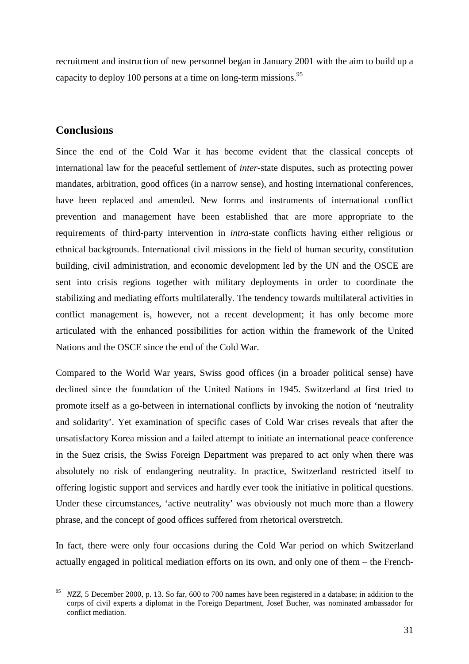recruitment and instruction of new personnel began in January 2001 with the aim to build up a capacity to deploy 100 persons at a time on long-term missions.95

#### **Conclusions**

Since the end of the Cold War it has become evident that the classical concepts of international law for the peaceful settlement of *inter*-state disputes, such as protecting power mandates, arbitration, good offices (in a narrow sense), and hosting international conferences, have been replaced and amended. New forms and instruments of international conflict prevention and management have been established that are more appropriate to the requirements of third-party intervention in *intra*-state conflicts having either religious or ethnical backgrounds. International civil missions in the field of human security, constitution building, civil administration, and economic development led by the UN and the OSCE are sent into crisis regions together with military deployments in order to coordinate the stabilizing and mediating efforts multilaterally. The tendency towards multilateral activities in conflict management is, however, not a recent development; it has only become more articulated with the enhanced possibilities for action within the framework of the United Nations and the OSCE since the end of the Cold War.

Compared to the World War years, Swiss good offices (in a broader political sense) have declined since the foundation of the United Nations in 1945. Switzerland at first tried to promote itself as a go-between in international conflicts by invoking the notion of 'neutrality and solidarity'. Yet examination of specific cases of Cold War crises reveals that after the unsatisfactory Korea mission and a failed attempt to initiate an international peace conference in the Suez crisis, the Swiss Foreign Department was prepared to act only when there was absolutely no risk of endangering neutrality. In practice, Switzerland restricted itself to offering logistic support and services and hardly ever took the initiative in political questions. Under these circumstances, 'active neutrality' was obviously not much more than a flowery phrase, and the concept of good offices suffered from rhetorical overstretch.

In fact, there were only four occasions during the Cold War period on which Switzerland actually engaged in political mediation efforts on its own, and only one of them – the French-

 $\overline{a}$ <sup>95</sup> *NZZ*, 5 December 2000, p. 13. So far, 600 to 700 names have been registered in a database; in addition to the corps of civil experts a diplomat in the Foreign Department, Josef Bucher, was nominated ambassador for conflict mediation.